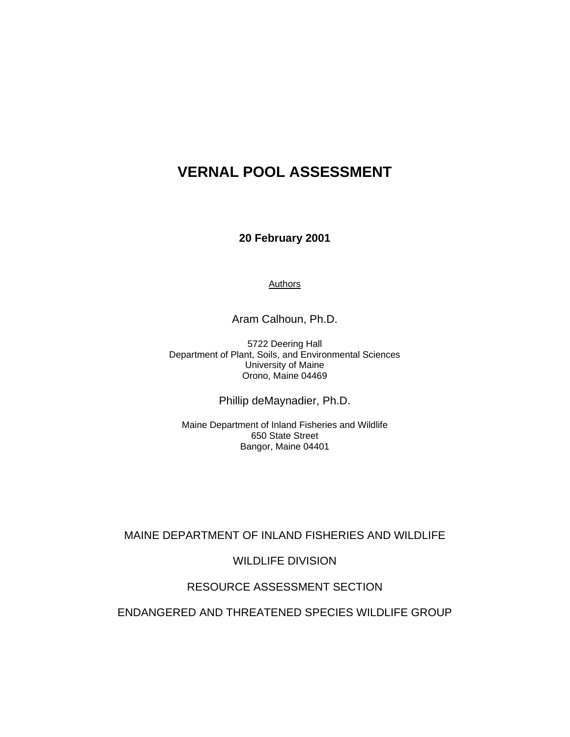**20 February 2001** 

Authors

Aram Calhoun, Ph.D.

5722 Deering Hall Department of Plant, Soils, and Environmental Sciences University of Maine Orono, Maine 04469

Phillip deMaynadier, Ph.D.

Maine Department of Inland Fisheries and Wildlife 650 State Street Bangor, Maine 04401

# MAINE DEPARTMENT OF INLAND FISHERIES AND WILDLIFE

WILDLIFE DIVISION

# RESOURCE ASSESSMENT SECTION

### ENDANGERED AND THREATENED SPECIES WILDLIFE GROUP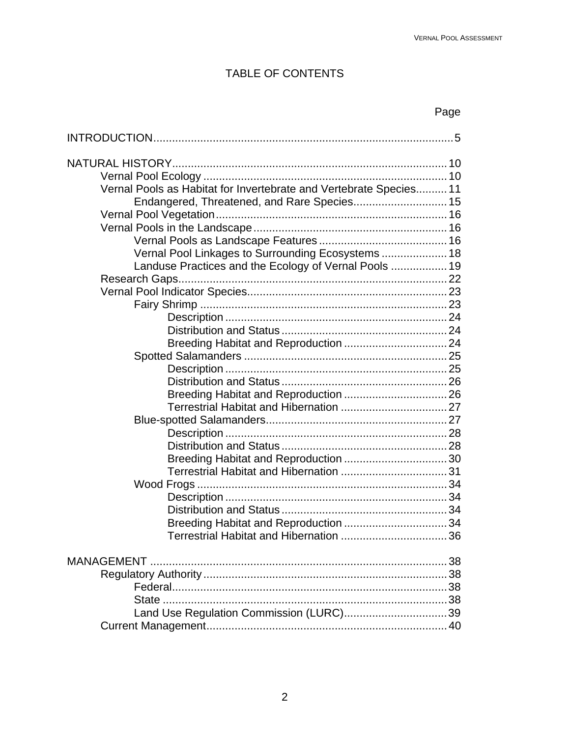# TABLE OF CONTENTS

# Page

| Vernal Pools as Habitat for Invertebrate and Vertebrate Species 11 |    |
|--------------------------------------------------------------------|----|
|                                                                    |    |
|                                                                    |    |
|                                                                    |    |
|                                                                    |    |
| Vernal Pool Linkages to Surrounding Ecosystems  18                 |    |
| Landuse Practices and the Ecology of Vernal Pools  19              |    |
|                                                                    |    |
|                                                                    |    |
|                                                                    |    |
|                                                                    |    |
|                                                                    |    |
|                                                                    |    |
|                                                                    |    |
|                                                                    |    |
|                                                                    |    |
|                                                                    |    |
|                                                                    |    |
|                                                                    |    |
|                                                                    |    |
|                                                                    |    |
|                                                                    |    |
|                                                                    |    |
|                                                                    |    |
|                                                                    |    |
|                                                                    |    |
|                                                                    |    |
|                                                                    |    |
|                                                                    | 38 |
|                                                                    | 38 |
|                                                                    |    |
|                                                                    |    |
|                                                                    |    |
|                                                                    |    |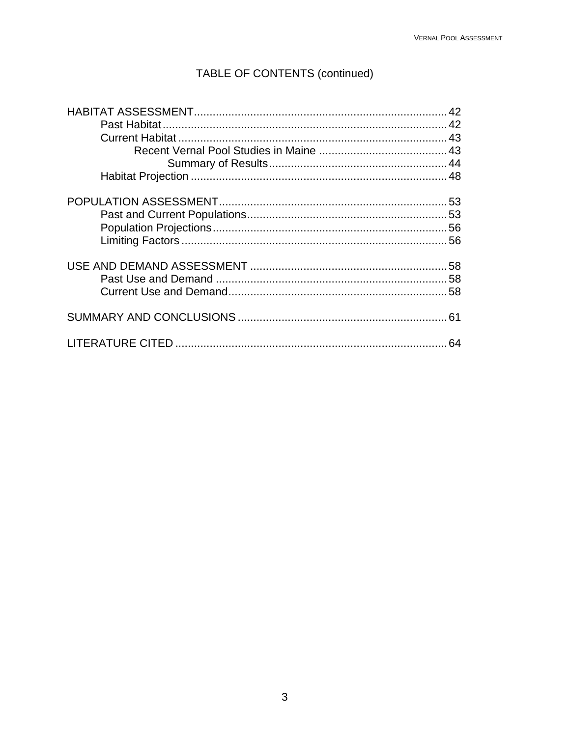# TABLE OF CONTENTS (continued)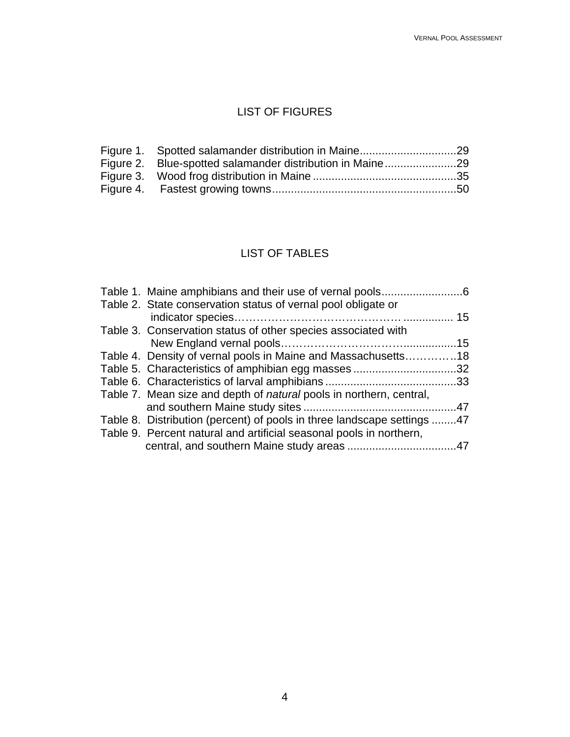# LIST OF FIGURES

| Figure 2. Blue-spotted salamander distribution in Maine29 |  |
|-----------------------------------------------------------|--|
|                                                           |  |
|                                                           |  |

# LIST OF TABLES

| Table 2. State conservation status of vernal pool obligate or              |  |
|----------------------------------------------------------------------------|--|
|                                                                            |  |
| Table 3. Conservation status of other species associated with              |  |
|                                                                            |  |
| Table 4. Density of vernal pools in Maine and Massachusetts18              |  |
| Table 5. Characteristics of amphibian egg masses 32                        |  |
|                                                                            |  |
| Table 7. Mean size and depth of <i>natural</i> pools in northern, central, |  |
|                                                                            |  |
| Table 8. Distribution (percent) of pools in three landscape settings 47    |  |
| Table 9. Percent natural and artificial seasonal pools in northern,        |  |
|                                                                            |  |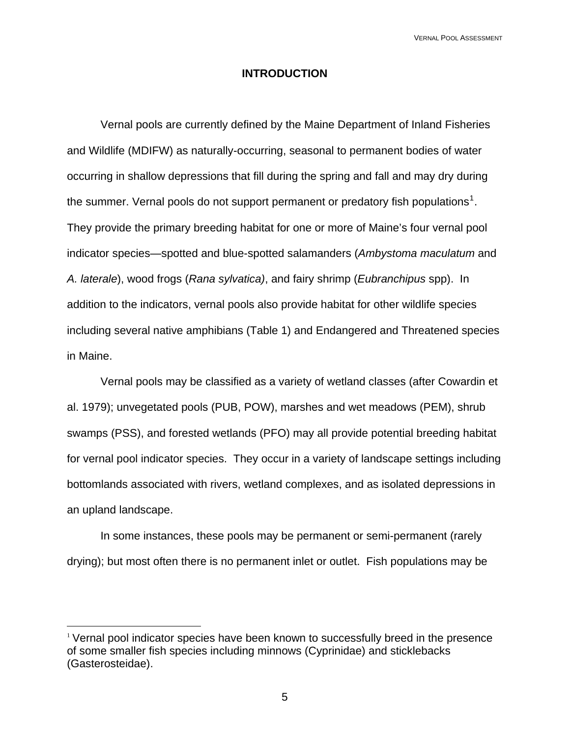### **INTRODUCTION**

Vernal pools are currently defined by the Maine Department of Inland Fisheries and Wildlife (MDIFW) as naturally-occurring, seasonal to permanent bodies of water occurring in shallow depressions that fill during the spring and fall and may dry during the summer. Vernal pools do not support permanent or predatory fish populations<sup>[1](#page-4-0)</sup>. They provide the primary breeding habitat for one or more of Maine's four vernal pool indicator species—spotted and blue-spotted salamanders (*Ambystoma maculatum* and *A. laterale*), wood frogs (*Rana sylvatica)*, and fairy shrimp (*Eubranchipus* spp). In addition to the indicators, vernal pools also provide habitat for other wildlife species including several native amphibians (Table 1) and Endangered and Threatened species in Maine.

 Vernal pools may be classified as a variety of wetland classes (after Cowardin et al. 1979); unvegetated pools (PUB, POW), marshes and wet meadows (PEM), shrub swamps (PSS), and forested wetlands (PFO) may all provide potential breeding habitat for vernal pool indicator species. They occur in a variety of landscape settings including bottomlands associated with rivers, wetland complexes, and as isolated depressions in an upland landscape.

In some instances, these pools may be permanent or semi-permanent (rarely drying); but most often there is no permanent inlet or outlet. Fish populations may be

 $\overline{a}$ 

<span id="page-4-0"></span><sup>&</sup>lt;sup>1</sup> Vernal pool indicator species have been known to successfully breed in the presence of some smaller fish species including minnows (Cyprinidae) and sticklebacks (Gasterosteidae).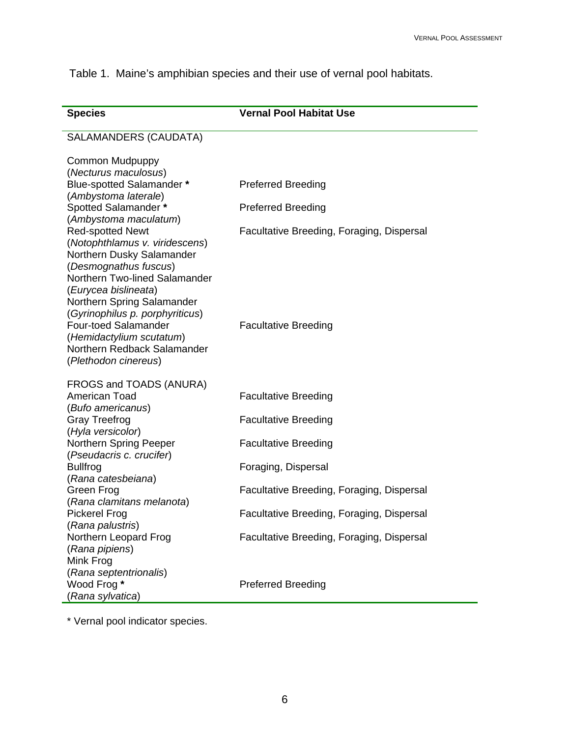Table 1.Maine's amphibian species and their use of vernal pool habitats.

| <b>Species</b>                                                | <b>Vernal Pool Habitat Use</b>            |
|---------------------------------------------------------------|-------------------------------------------|
| <b>SALAMANDERS (CAUDATA)</b>                                  |                                           |
| Common Mudpuppy                                               |                                           |
| (Necturus maculosus)                                          |                                           |
| Blue-spotted Salamander *                                     | <b>Preferred Breeding</b>                 |
| (Ambystoma laterale)                                          |                                           |
| Spotted Salamander *                                          | <b>Preferred Breeding</b>                 |
| (Ambystoma maculatum)                                         |                                           |
| <b>Red-spotted Newt</b>                                       | Facultative Breeding, Foraging, Dispersal |
| (Notophthlamus v. viridescens)                                |                                           |
| Northern Dusky Salamander                                     |                                           |
| (Desmognathus fuscus)                                         |                                           |
| Northern Two-lined Salamander                                 |                                           |
| (Eurycea bislineata)                                          |                                           |
| Northern Spring Salamander<br>(Gyrinophilus p. porphyriticus) |                                           |
| <b>Four-toed Salamander</b>                                   | <b>Facultative Breeding</b>               |
| (Hemidactylium scutatum)                                      |                                           |
| Northern Redback Salamander                                   |                                           |
| (Plethodon cinereus)                                          |                                           |
|                                                               |                                           |
| FROGS and TOADS (ANURA)                                       |                                           |
| American Toad                                                 | <b>Facultative Breeding</b>               |
| (Bufo americanus)                                             |                                           |
| <b>Gray Treefrog</b><br>(Hyla versicolor)                     | <b>Facultative Breeding</b>               |
| Northern Spring Peeper                                        | <b>Facultative Breeding</b>               |
| (Pseudacris c. crucifer)                                      |                                           |
| <b>Bullfrog</b>                                               | Foraging, Dispersal                       |
| (Rana catesbeiana)                                            |                                           |
| Green Frog                                                    | Facultative Breeding, Foraging, Dispersal |
| (Rana clamitans melanota)                                     |                                           |
| <b>Pickerel Frog</b>                                          | Facultative Breeding, Foraging, Dispersal |
| (Rana palustris)<br>Northern Leopard Frog                     | Facultative Breeding, Foraging, Dispersal |
| (Rana pipiens)                                                |                                           |
| Mink Frog                                                     |                                           |
| (Rana septentrionalis)                                        |                                           |
| Wood Frog *                                                   | <b>Preferred Breeding</b>                 |
| (Rana sylvatica)                                              |                                           |

\* Vernal pool indicator species.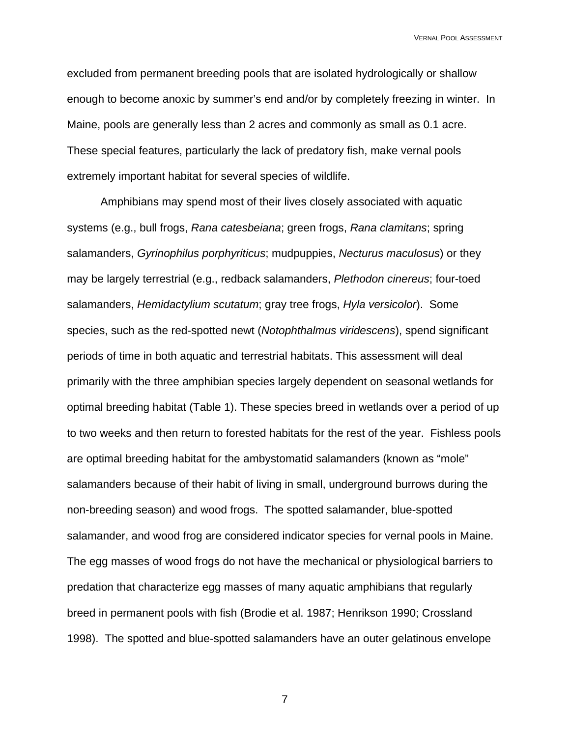excluded from permanent breeding pools that are isolated hydrologically or shallow enough to become anoxic by summer's end and/or by completely freezing in winter. In Maine, pools are generally less than 2 acres and commonly as small as 0.1 acre. These special features, particularly the lack of predatory fish, make vernal pools extremely important habitat for several species of wildlife.

Amphibians may spend most of their lives closely associated with aquatic systems (e.g., bull frogs, *Rana catesbeiana*; green frogs, *Rana clamitans*; spring salamanders, *Gyrinophilus porphyriticus*; mudpuppies, *Necturus maculosus*) or they may be largely terrestrial (e.g., redback salamanders, *Plethodon cinereus*; four-toed salamanders, *Hemidactylium scutatum*; gray tree frogs, *Hyla versicolor*). Some species, such as the red-spotted newt (*Notophthalmus viridescens*), spend significant periods of time in both aquatic and terrestrial habitats. This assessment will deal primarily with the three amphibian species largely dependent on seasonal wetlands for optimal breeding habitat (Table 1). These species breed in wetlands over a period of up to two weeks and then return to forested habitats for the rest of the year. Fishless pools are optimal breeding habitat for the ambystomatid salamanders (known as "mole" salamanders because of their habit of living in small, underground burrows during the non-breeding season) and wood frogs. The spotted salamander, blue-spotted salamander, and wood frog are considered indicator species for vernal pools in Maine. The egg masses of wood frogs do not have the mechanical or physiological barriers to predation that characterize egg masses of many aquatic amphibians that regularly breed in permanent pools with fish (Brodie et al. 1987; Henrikson 1990; Crossland 1998). The spotted and blue-spotted salamanders have an outer gelatinous envelope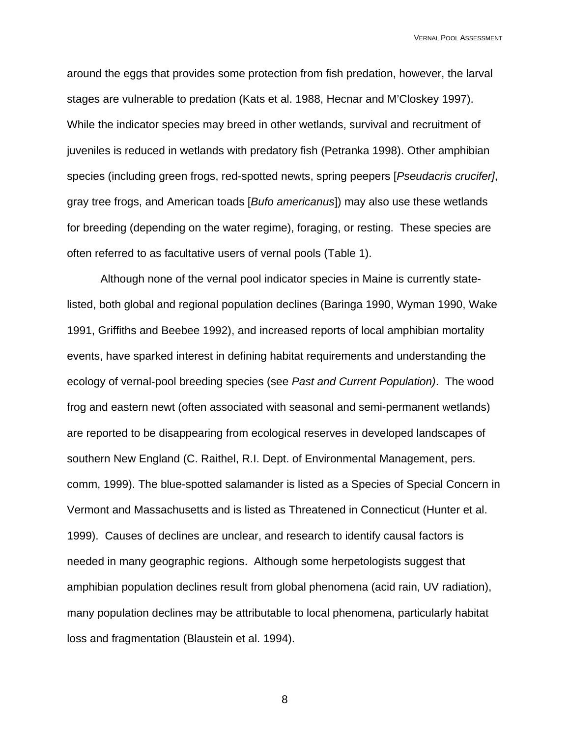around the eggs that provides some protection from fish predation, however, the larval stages are vulnerable to predation (Kats et al. 1988, Hecnar and M'Closkey 1997). While the indicator species may breed in other wetlands, survival and recruitment of juveniles is reduced in wetlands with predatory fish (Petranka 1998). Other amphibian species (including green frogs, red-spotted newts, spring peepers [*Pseudacris crucifer]*, gray tree frogs, and American toads [*Bufo americanus*]) may also use these wetlands for breeding (depending on the water regime), foraging, or resting. These species are often referred to as facultative users of vernal pools (Table 1).

 Although none of the vernal pool indicator species in Maine is currently statelisted, both global and regional population declines (Baringa 1990, Wyman 1990, Wake 1991, Griffiths and Beebee 1992), and increased reports of local amphibian mortality events, have sparked interest in defining habitat requirements and understanding the ecology of vernal-pool breeding species (see *Past and Current Population)*. The wood frog and eastern newt (often associated with seasonal and semi-permanent wetlands) are reported to be disappearing from ecological reserves in developed landscapes of southern New England (C. Raithel, R.I. Dept. of Environmental Management, pers. comm, 1999). The blue-spotted salamander is listed as a Species of Special Concern in Vermont and Massachusetts and is listed as Threatened in Connecticut (Hunter et al. 1999). Causes of declines are unclear, and research to identify causal factors is needed in many geographic regions. Although some herpetologists suggest that amphibian population declines result from global phenomena (acid rain, UV radiation), many population declines may be attributable to local phenomena, particularly habitat loss and fragmentation (Blaustein et al. 1994).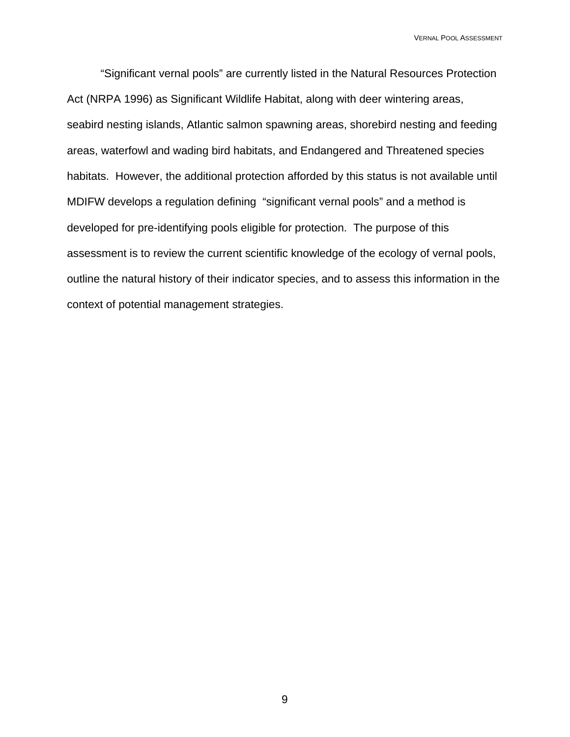"Significant vernal pools" are currently listed in the Natural Resources Protection Act (NRPA 1996) as Significant Wildlife Habitat, along with deer wintering areas, seabird nesting islands, Atlantic salmon spawning areas, shorebird nesting and feeding areas, waterfowl and wading bird habitats, and Endangered and Threatened species habitats. However, the additional protection afforded by this status is not available until MDIFW develops a regulation defining "significant vernal pools" and a method is developed for pre-identifying pools eligible for protection. The purpose of this assessment is to review the current scientific knowledge of the ecology of vernal pools, outline the natural history of their indicator species, and to assess this information in the context of potential management strategies.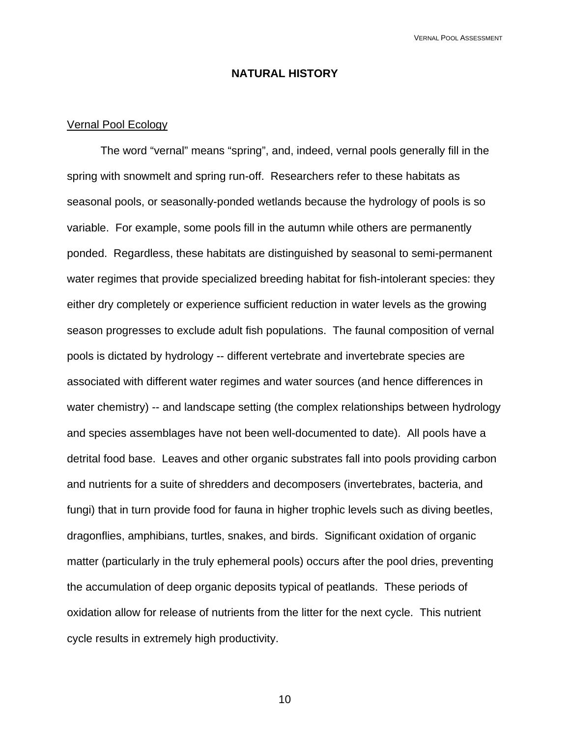## **NATURAL HISTORY**

### Vernal Pool Ecology

The word "vernal" means "spring", and, indeed, vernal pools generally fill in the spring with snowmelt and spring run-off. Researchers refer to these habitats as seasonal pools, or seasonally-ponded wetlands because the hydrology of pools is so variable. For example, some pools fill in the autumn while others are permanently ponded. Regardless, these habitats are distinguished by seasonal to semi-permanent water regimes that provide specialized breeding habitat for fish-intolerant species: they either dry completely or experience sufficient reduction in water levels as the growing season progresses to exclude adult fish populations. The faunal composition of vernal pools is dictated by hydrology -- different vertebrate and invertebrate species are associated with different water regimes and water sources (and hence differences in water chemistry) -- and landscape setting (the complex relationships between hydrology and species assemblages have not been well-documented to date). All pools have a detrital food base. Leaves and other organic substrates fall into pools providing carbon and nutrients for a suite of shredders and decomposers (invertebrates, bacteria, and fungi) that in turn provide food for fauna in higher trophic levels such as diving beetles, dragonflies, amphibians, turtles, snakes, and birds. Significant oxidation of organic matter (particularly in the truly ephemeral pools) occurs after the pool dries, preventing the accumulation of deep organic deposits typical of peatlands. These periods of oxidation allow for release of nutrients from the litter for the next cycle. This nutrient cycle results in extremely high productivity.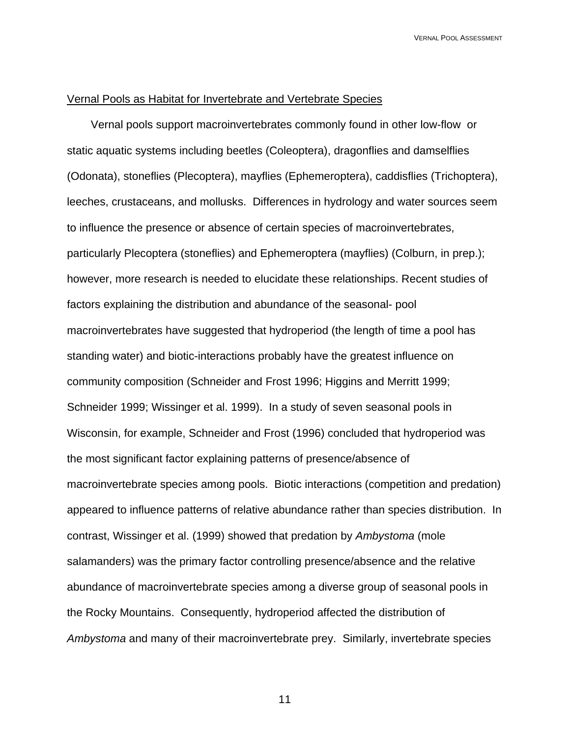### Vernal Pools as Habitat for Invertebrate and Vertebrate Species

 Vernal pools support macroinvertebrates commonly found in other low-flow or static aquatic systems including beetles (Coleoptera), dragonflies and damselflies (Odonata), stoneflies (Plecoptera), mayflies (Ephemeroptera), caddisflies (Trichoptera), leeches, crustaceans, and mollusks. Differences in hydrology and water sources seem to influence the presence or absence of certain species of macroinvertebrates, particularly Plecoptera (stoneflies) and Ephemeroptera (mayflies) (Colburn, in prep.); however, more research is needed to elucidate these relationships. Recent studies of factors explaining the distribution and abundance of the seasonal- pool macroinvertebrates have suggested that hydroperiod (the length of time a pool has standing water) and biotic-interactions probably have the greatest influence on community composition (Schneider and Frost 1996; Higgins and Merritt 1999; Schneider 1999; Wissinger et al. 1999). In a study of seven seasonal pools in Wisconsin, for example, Schneider and Frost (1996) concluded that hydroperiod was the most significant factor explaining patterns of presence/absence of macroinvertebrate species among pools. Biotic interactions (competition and predation) appeared to influence patterns of relative abundance rather than species distribution. In contrast, Wissinger et al. (1999) showed that predation by *Ambystoma* (mole salamanders) was the primary factor controlling presence/absence and the relative abundance of macroinvertebrate species among a diverse group of seasonal pools in the Rocky Mountains. Consequently, hydroperiod affected the distribution of *Ambystoma* and many of their macroinvertebrate prey. Similarly, invertebrate species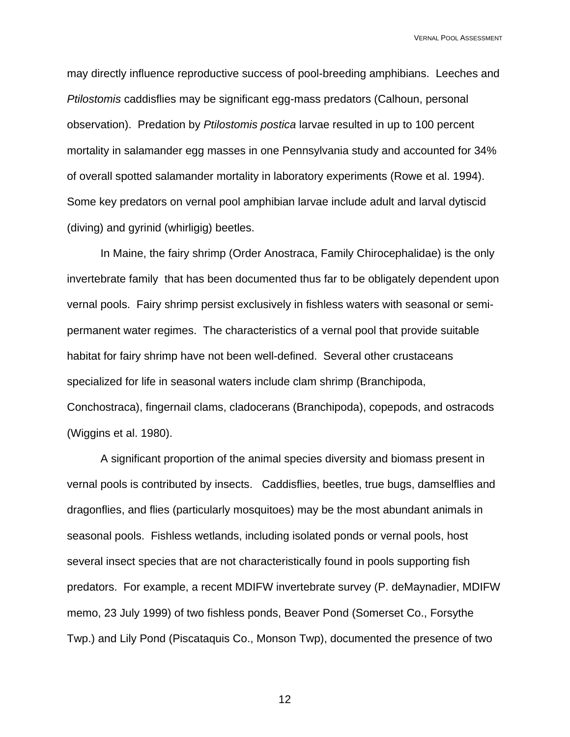may directly influence reproductive success of pool-breeding amphibians. Leeches and *Ptilostomis* caddisflies may be significant egg-mass predators (Calhoun, personal observation). Predation by *Ptilostomis postica* larvae resulted in up to 100 percent mortality in salamander egg masses in one Pennsylvania study and accounted for 34% of overall spotted salamander mortality in laboratory experiments (Rowe et al. 1994). Some key predators on vernal pool amphibian larvae include adult and larval dytiscid (diving) and gyrinid (whirligig) beetles.

 In Maine, the fairy shrimp (Order Anostraca, Family Chirocephalidae) is the only invertebrate family that has been documented thus far to be obligately dependent upon vernal pools. Fairy shrimp persist exclusively in fishless waters with seasonal or semipermanent water regimes. The characteristics of a vernal pool that provide suitable habitat for fairy shrimp have not been well-defined. Several other crustaceans specialized for life in seasonal waters include clam shrimp (Branchipoda, Conchostraca), fingernail clams, cladocerans (Branchipoda), copepods, and ostracods (Wiggins et al. 1980).

 A significant proportion of the animal species diversity and biomass present in vernal pools is contributed by insects. Caddisflies, beetles, true bugs, damselflies and dragonflies, and flies (particularly mosquitoes) may be the most abundant animals in seasonal pools. Fishless wetlands, including isolated ponds or vernal pools, host several insect species that are not characteristically found in pools supporting fish predators. For example, a recent MDIFW invertebrate survey (P. deMaynadier, MDIFW memo, 23 July 1999) of two fishless ponds, Beaver Pond (Somerset Co., Forsythe Twp.) and Lily Pond (Piscataquis Co., Monson Twp), documented the presence of two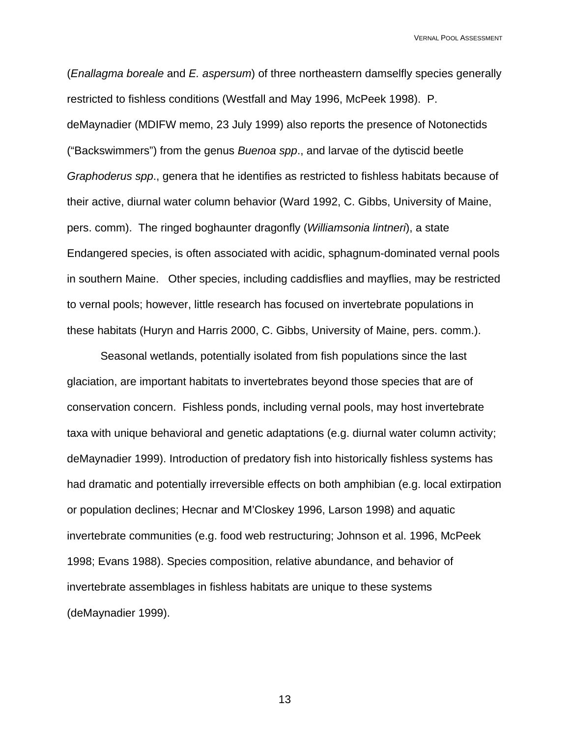(*Enallagma boreale* and *E. aspersum*) of three northeastern damselfly species generally restricted to fishless conditions (Westfall and May 1996, McPeek 1998). P. deMaynadier (MDIFW memo, 23 July 1999) also reports the presence of Notonectids ("Backswimmers") from the genus *Buenoa spp*., and larvae of the dytiscid beetle *Graphoderus spp*., genera that he identifies as restricted to fishless habitats because of their active, diurnal water column behavior (Ward 1992, C. Gibbs, University of Maine, pers. comm). The ringed boghaunter dragonfly (*Williamsonia lintneri*), a state Endangered species, is often associated with acidic, sphagnum-dominated vernal pools in southern Maine. Other species, including caddisflies and mayflies, may be restricted to vernal pools; however, little research has focused on invertebrate populations in these habitats (Huryn and Harris 2000, C. Gibbs, University of Maine, pers. comm.).

 Seasonal wetlands, potentially isolated from fish populations since the last glaciation, are important habitats to invertebrates beyond those species that are of conservation concern. Fishless ponds, including vernal pools, may host invertebrate taxa with unique behavioral and genetic adaptations (e.g. diurnal water column activity; deMaynadier 1999). Introduction of predatory fish into historically fishless systems has had dramatic and potentially irreversible effects on both amphibian (e.g. local extirpation or population declines; Hecnar and M'Closkey 1996, Larson 1998) and aquatic invertebrate communities (e.g. food web restructuring; Johnson et al. 1996, McPeek 1998; Evans 1988). Species composition, relative abundance, and behavior of invertebrate assemblages in fishless habitats are unique to these systems (deMaynadier 1999).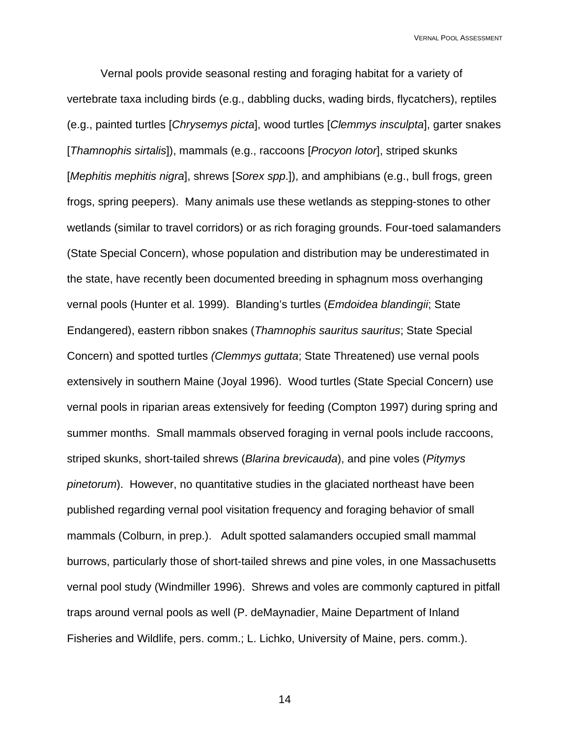Vernal pools provide seasonal resting and foraging habitat for a variety of vertebrate taxa including birds (e.g., dabbling ducks, wading birds, flycatchers), reptiles (e.g., painted turtles [*Chrysemys picta*], wood turtles [*Clemmys insculpta*], garter snakes [*Thamnophis sirtalis*]), mammals (e.g., raccoons [*Procyon lotor*], striped skunks [*Mephitis mephitis nigra*], shrews [*Sorex spp*.]), and amphibians (e.g., bull frogs, green frogs, spring peepers). Many animals use these wetlands as stepping-stones to other wetlands (similar to travel corridors) or as rich foraging grounds. Four-toed salamanders (State Special Concern), whose population and distribution may be underestimated in the state, have recently been documented breeding in sphagnum moss overhanging vernal pools (Hunter et al. 1999). Blanding's turtles (*Emdoidea blandingii*; State Endangered), eastern ribbon snakes (*Thamnophis sauritus sauritus*; State Special Concern) and spotted turtles *(Clemmys guttata*; State Threatened) use vernal pools extensively in southern Maine (Joyal 1996). Wood turtles (State Special Concern) use vernal pools in riparian areas extensively for feeding (Compton 1997) during spring and summer months. Small mammals observed foraging in vernal pools include raccoons, striped skunks, short-tailed shrews (*Blarina brevicauda*), and pine voles (*Pitymys pinetorum*). However, no quantitative studies in the glaciated northeast have been published regarding vernal pool visitation frequency and foraging behavior of small mammals (Colburn, in prep.). Adult spotted salamanders occupied small mammal burrows, particularly those of short-tailed shrews and pine voles, in one Massachusetts vernal pool study (Windmiller 1996). Shrews and voles are commonly captured in pitfall traps around vernal pools as well (P. deMaynadier, Maine Department of Inland Fisheries and Wildlife, pers. comm.; L. Lichko, University of Maine, pers. comm.).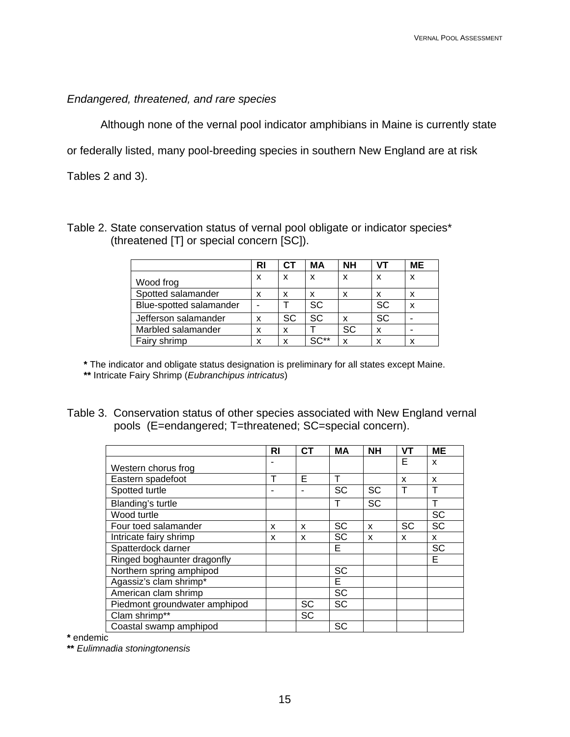# *Endangered, threatened, and rare species*

Although none of the vernal pool indicator amphibians in Maine is currently state

or federally listed, many pool-breeding species in southern New England are at risk

Tables 2 and 3).

| Table 2. State conservation status of vernal pool obligate or indicator species* |  |
|----------------------------------------------------------------------------------|--|
| (threatened [T] or special concern [SC]).                                        |  |

|                         | RI | СT | МA        | <b>NH</b> | VТ        | <b>ME</b> |
|-------------------------|----|----|-----------|-----------|-----------|-----------|
| Wood frog               | x  | x  | x         | x         | x         | x         |
| Spotted salamander      | x  | x  | x         | x         | x         | x         |
| Blue-spotted salamander |    |    | <b>SC</b> |           | <b>SC</b> | x         |
| Jefferson salamander    | x  | SC | SC        | x         | SC        |           |
| Marbled salamander      | x  | x  |           | SC        | x         |           |
| Fairy shrimp            | x  | x  | $SC**$    | X         | x         | x         |

**\*** The indicator and obligate status designation is preliminary for all states except Maine.

**\*\*** Intricate Fairy Shrimp (*Eubranchipus intricatus*)

| Table 3. Conservation status of other species associated with New England vernal |
|----------------------------------------------------------------------------------|
| pools (E=endangered; T=threatened; SC=special concern).                          |

|                               |    | <b>CT</b> | <b>MA</b> | <b>NH</b> | <b>VT</b> | <b>ME</b> |
|-------------------------------|----|-----------|-----------|-----------|-----------|-----------|
|                               | RI |           |           |           |           |           |
| Western chorus frog           |    |           |           |           | E         | X         |
| Eastern spadefoot             | т  | F         | Т         |           | x         | x         |
| Spotted turtle                |    |           | <b>SC</b> | SC        | т         | т         |
| Blanding's turtle             |    |           | т         | <b>SC</b> |           | Т         |
| Wood turtle                   |    |           |           |           |           | <b>SC</b> |
| Four toed salamander          | x  | X         | <b>SC</b> | X         | <b>SC</b> | <b>SC</b> |
| Intricate fairy shrimp        | x  | X         | <b>SC</b> | X         | X         | X         |
| Spatterdock darner            |    |           | Е         |           |           | <b>SC</b> |
| Ringed boghaunter dragonfly   |    |           |           |           |           | E         |
| Northern spring amphipod      |    |           | SC        |           |           |           |
| Agassiz's clam shrimp*        |    |           | E         |           |           |           |
| American clam shrimp          |    |           | <b>SC</b> |           |           |           |
| Piedmont groundwater amphipod |    | <b>SC</b> | <b>SC</b> |           |           |           |
| Clam shrimp**                 |    | SC        |           |           |           |           |
| Coastal swamp amphipod        |    |           | <b>SC</b> |           |           |           |

**\*** endemic

**\*\*** *Eulimnadia stoningtonensis*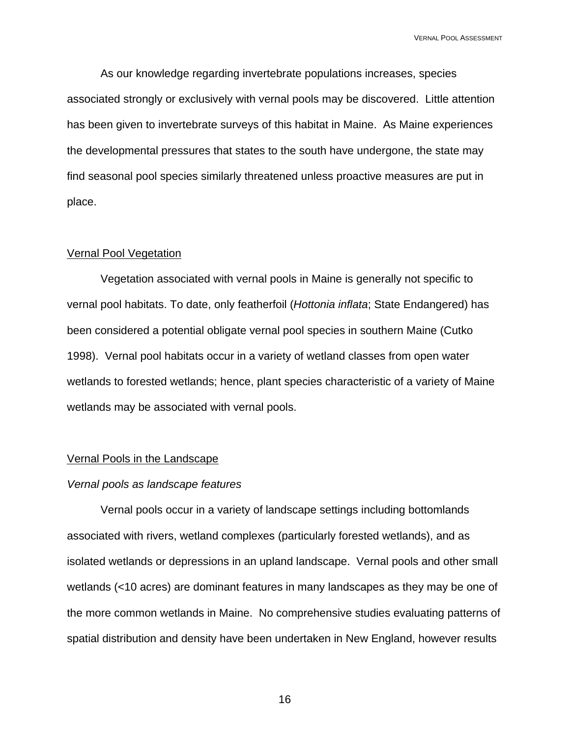As our knowledge regarding invertebrate populations increases, species associated strongly or exclusively with vernal pools may be discovered. Little attention has been given to invertebrate surveys of this habitat in Maine. As Maine experiences the developmental pressures that states to the south have undergone, the state may find seasonal pool species similarly threatened unless proactive measures are put in place.

### Vernal Pool Vegetation

Vegetation associated with vernal pools in Maine is generally not specific to vernal pool habitats. To date, only featherfoil (*Hottonia inflata*; State Endangered) has been considered a potential obligate vernal pool species in southern Maine (Cutko 1998). Vernal pool habitats occur in a variety of wetland classes from open water wetlands to forested wetlands; hence, plant species characteristic of a variety of Maine wetlands may be associated with vernal pools.

### Vernal Pools in the Landscape

### *Vernal pools as landscape features*

Vernal pools occur in a variety of landscape settings including bottomlands associated with rivers, wetland complexes (particularly forested wetlands), and as isolated wetlands or depressions in an upland landscape. Vernal pools and other small wetlands (<10 acres) are dominant features in many landscapes as they may be one of the more common wetlands in Maine. No comprehensive studies evaluating patterns of spatial distribution and density have been undertaken in New England, however results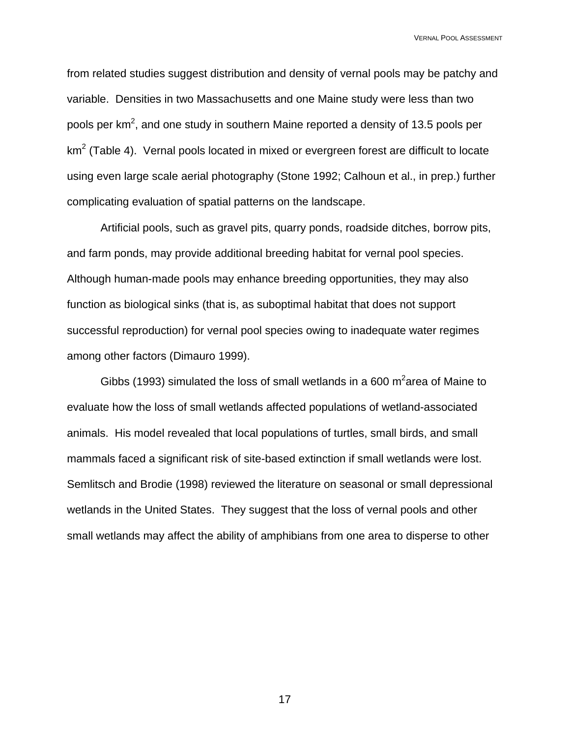from related studies suggest distribution and density of vernal pools may be patchy and variable. Densities in two Massachusetts and one Maine study were less than two pools per km<sup>2</sup>, and one study in southern Maine reported a density of 13.5 pools per km<sup>2</sup> (Table 4). Vernal pools located in mixed or evergreen forest are difficult to locate using even large scale aerial photography (Stone 1992; Calhoun et al., in prep.) further complicating evaluation of spatial patterns on the landscape.

Artificial pools, such as gravel pits, quarry ponds, roadside ditches, borrow pits, and farm ponds, may provide additional breeding habitat for vernal pool species. Although human-made pools may enhance breeding opportunities, they may also function as biological sinks (that is, as suboptimal habitat that does not support successful reproduction) for vernal pool species owing to inadequate water regimes among other factors (Dimauro 1999).

Gibbs (1993) simulated the loss of small wetlands in a 600 m<sup>2</sup>area of Maine to evaluate how the loss of small wetlands affected populations of wetland-associated animals. His model revealed that local populations of turtles, small birds, and small mammals faced a significant risk of site-based extinction if small wetlands were lost. Semlitsch and Brodie (1998) reviewed the literature on seasonal or small depressional wetlands in the United States. They suggest that the loss of vernal pools and other small wetlands may affect the ability of amphibians from one area to disperse to other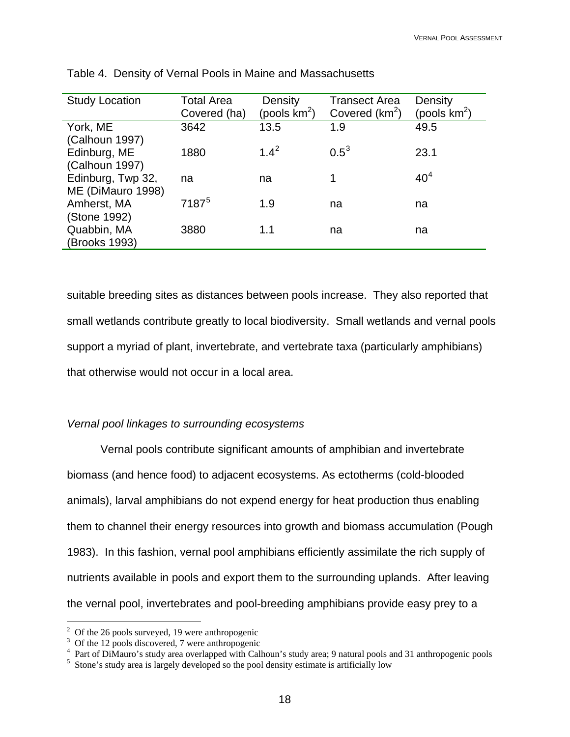| <b>Study Location</b> | <b>Total Area</b><br>Density |                 | <b>Transect Area</b> | Density         |  |
|-----------------------|------------------------------|-----------------|----------------------|-----------------|--|
|                       | Covered (ha)                 | (pools $km^2$ ) | Covered $(km^2)$     | (pools $km^2$ ) |  |
| York, ME              | 3642                         | 13.5            | 1.9                  | 49.5            |  |
| (Calhoun 1997)        |                              |                 |                      |                 |  |
| Edinburg, ME          | 1880                         | $1.4^2$         | $0.5^3$              | 23.1            |  |
| (Calhoun 1997)        |                              |                 |                      |                 |  |
| Edinburg, Twp 32,     | na                           | na              |                      | 40 <sup>4</sup> |  |
| ME (DiMauro 1998)     |                              |                 |                      |                 |  |
| Amherst, MA           | 7187 <sup>5</sup>            | 1.9             | na                   | na              |  |
| (Stone 1992)          |                              |                 |                      |                 |  |
| Quabbin, MA           | 3880                         | 1.1             | na                   | na              |  |
| (Brooks 1993)         |                              |                 |                      |                 |  |

<span id="page-17-0"></span>

|  |  | Table 4. Density of Vernal Pools in Maine and Massachusetts |
|--|--|-------------------------------------------------------------|
|--|--|-------------------------------------------------------------|

suitable breeding sites as distances between pools increase. They also reported that small wetlands contribute greatly to local biodiversity. Small wetlands and vernal pools support a myriad of plant, invertebrate, and vertebrate taxa (particularly amphibians) that otherwise would not occur in a local area.

### *Vernal pool linkages to surrounding ecosystems*

Vernal pools contribute significant amounts of amphibian and invertebrate biomass (and hence food) to adjacent ecosystems. As ectotherms (cold-blooded animals), larval amphibians do not expend energy for heat production thus enabling them to channel their energy resources into growth and biomass accumulation (Pough 1983). In this fashion, vernal pool amphibians efficiently assimilate the rich supply of nutrients available in pools and export them to the surrounding uplands. After leaving the vernal pool, invertebrates and pool-breeding amphibians provide easy prey to a

 $\overline{a}$ 

 $2^{\circ}$  Of the 26 pools surveyed, 19 were anthropogenic

<sup>&</sup>lt;sup>3</sup> Of the 12 pools discovered, 7 were anthropogenic

<sup>&</sup>lt;sup>4</sup> Part of DiMauro's study area overlapped with Calhoun's study area; 9 natural pools and 31 anthropogenic pools

<sup>&</sup>lt;sup>5</sup> Stone's study area is largely developed so the pool density estimate is artificially low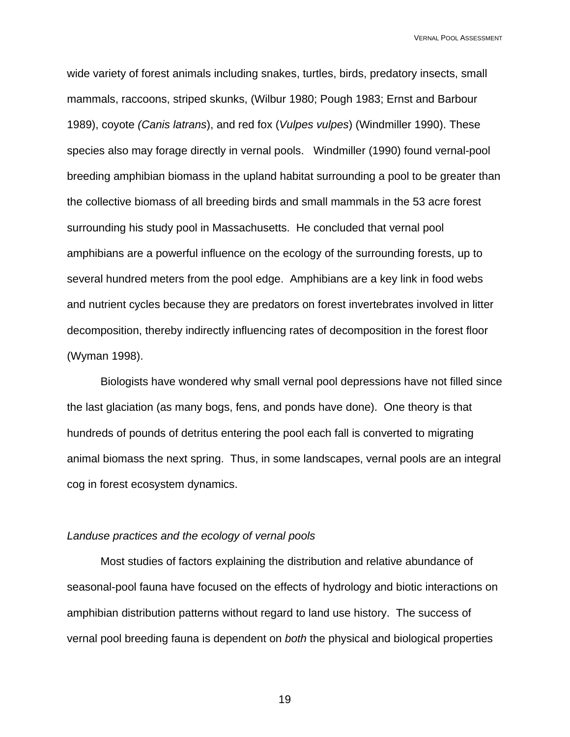wide variety of forest animals including snakes, turtles, birds, predatory insects, small mammals, raccoons, striped skunks, (Wilbur 1980; Pough 1983; Ernst and Barbour 1989), coyote *(Canis latrans*), and red fox (*Vulpes vulpes*) (Windmiller 1990). These species also may forage directly in vernal pools. Windmiller (1990) found vernal-pool breeding amphibian biomass in the upland habitat surrounding a pool to be greater than the collective biomass of all breeding birds and small mammals in the 53 acre forest surrounding his study pool in Massachusetts. He concluded that vernal pool amphibians are a powerful influence on the ecology of the surrounding forests, up to several hundred meters from the pool edge. Amphibians are a key link in food webs and nutrient cycles because they are predators on forest invertebrates involved in litter decomposition, thereby indirectly influencing rates of decomposition in the forest floor (Wyman 1998).

Biologists have wondered why small vernal pool depressions have not filled since the last glaciation (as many bogs, fens, and ponds have done). One theory is that hundreds of pounds of detritus entering the pool each fall is converted to migrating animal biomass the next spring. Thus, in some landscapes, vernal pools are an integral cog in forest ecosystem dynamics.

### *Landuse practices and the ecology of vernal pools*

Most studies of factors explaining the distribution and relative abundance of seasonal-pool fauna have focused on the effects of hydrology and biotic interactions on amphibian distribution patterns without regard to land use history. The success of vernal pool breeding fauna is dependent on *both* the physical and biological properties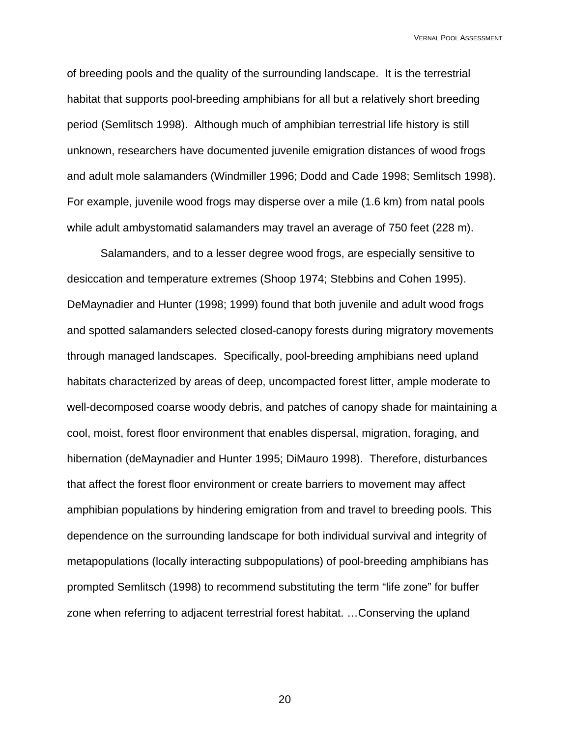of breeding pools and the quality of the surrounding landscape. It is the terrestrial habitat that supports pool-breeding amphibians for all but a relatively short breeding period (Semlitsch 1998). Although much of amphibian terrestrial life history is still unknown, researchers have documented juvenile emigration distances of wood frogs and adult mole salamanders (Windmiller 1996; Dodd and Cade 1998; Semlitsch 1998). For example, juvenile wood frogs may disperse over a mile (1.6 km) from natal pools while adult ambystomatid salamanders may travel an average of 750 feet (228 m).

Salamanders, and to a lesser degree wood frogs, are especially sensitive to desiccation and temperature extremes (Shoop 1974; Stebbins and Cohen 1995). DeMaynadier and Hunter (1998; 1999) found that both juvenile and adult wood frogs and spotted salamanders selected closed-canopy forests during migratory movements through managed landscapes. Specifically, pool-breeding amphibians need upland habitats characterized by areas of deep, uncompacted forest litter, ample moderate to well-decomposed coarse woody debris, and patches of canopy shade for maintaining a cool, moist, forest floor environment that enables dispersal, migration, foraging, and hibernation (deMaynadier and Hunter 1995; DiMauro 1998). Therefore, disturbances that affect the forest floor environment or create barriers to movement may affect amphibian populations by hindering emigration from and travel to breeding pools. This dependence on the surrounding landscape for both individual survival and integrity of metapopulations (locally interacting subpopulations) of pool-breeding amphibians has prompted Semlitsch (1998) to recommend substituting the term "life zone" for buffer zone when referring to adjacent terrestrial forest habitat. …Conserving the upland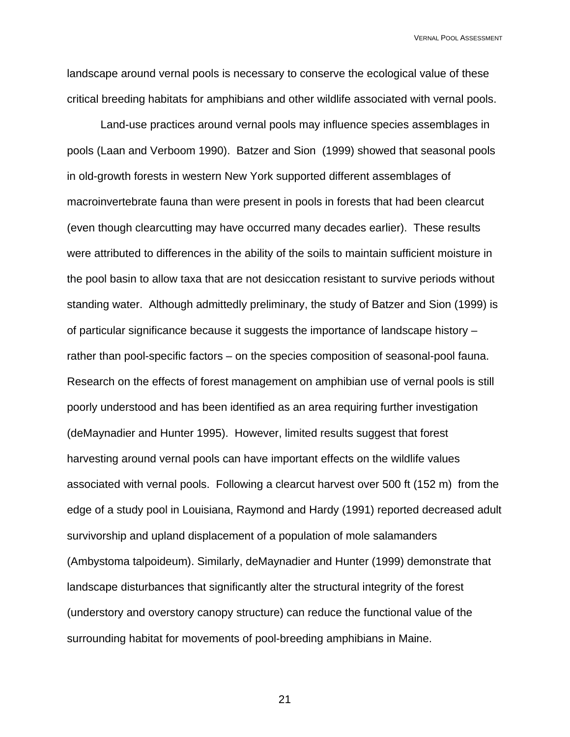landscape around vernal pools is necessary to conserve the ecological value of these critical breeding habitats for amphibians and other wildlife associated with vernal pools.

Land-use practices around vernal pools may influence species assemblages in pools (Laan and Verboom 1990). Batzer and Sion (1999) showed that seasonal pools in old-growth forests in western New York supported different assemblages of macroinvertebrate fauna than were present in pools in forests that had been clearcut (even though clearcutting may have occurred many decades earlier). These results were attributed to differences in the ability of the soils to maintain sufficient moisture in the pool basin to allow taxa that are not desiccation resistant to survive periods without standing water. Although admittedly preliminary, the study of Batzer and Sion (1999) is of particular significance because it suggests the importance of landscape history – rather than pool-specific factors – on the species composition of seasonal-pool fauna. Research on the effects of forest management on amphibian use of vernal pools is still poorly understood and has been identified as an area requiring further investigation (deMaynadier and Hunter 1995). However, limited results suggest that forest harvesting around vernal pools can have important effects on the wildlife values associated with vernal pools. Following a clearcut harvest over 500 ft (152 m) from the edge of a study pool in Louisiana, Raymond and Hardy (1991) reported decreased adult survivorship and upland displacement of a population of mole salamanders (Ambystoma talpoideum). Similarly, deMaynadier and Hunter (1999) demonstrate that landscape disturbances that significantly alter the structural integrity of the forest (understory and overstory canopy structure) can reduce the functional value of the surrounding habitat for movements of pool-breeding amphibians in Maine.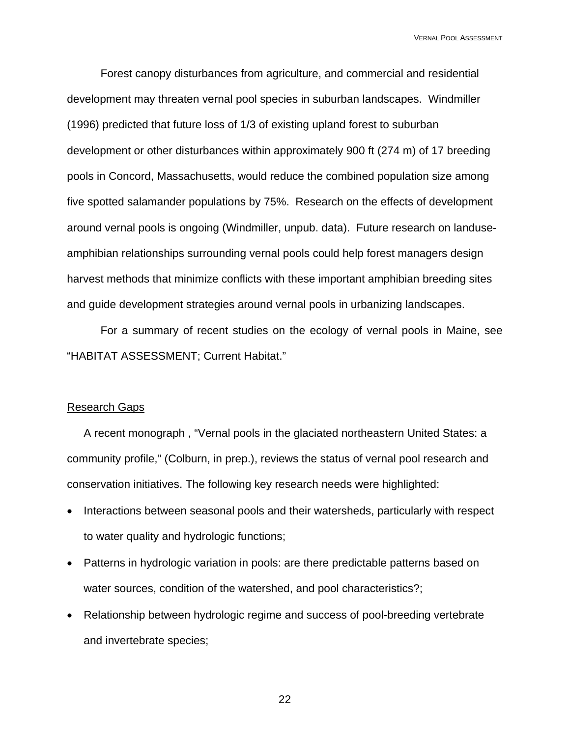Forest canopy disturbances from agriculture, and commercial and residential development may threaten vernal pool species in suburban landscapes. Windmiller (1996) predicted that future loss of 1/3 of existing upland forest to suburban development or other disturbances within approximately 900 ft (274 m) of 17 breeding pools in Concord, Massachusetts, would reduce the combined population size among five spotted salamander populations by 75%. Research on the effects of development around vernal pools is ongoing (Windmiller, unpub. data). Future research on landuseamphibian relationships surrounding vernal pools could help forest managers design harvest methods that minimize conflicts with these important amphibian breeding sites and guide development strategies around vernal pools in urbanizing landscapes.

For a summary of recent studies on the ecology of vernal pools in Maine, see "HABITAT ASSESSMENT; Current Habitat."

### Research Gaps

A recent monograph , "Vernal pools in the glaciated northeastern United States: a community profile," (Colburn, in prep.), reviews the status of vernal pool research and conservation initiatives. The following key research needs were highlighted:

- Interactions between seasonal pools and their watersheds, particularly with respect to water quality and hydrologic functions;
- Patterns in hydrologic variation in pools: are there predictable patterns based on water sources, condition of the watershed, and pool characteristics?;
- Relationship between hydrologic regime and success of pool-breeding vertebrate and invertebrate species;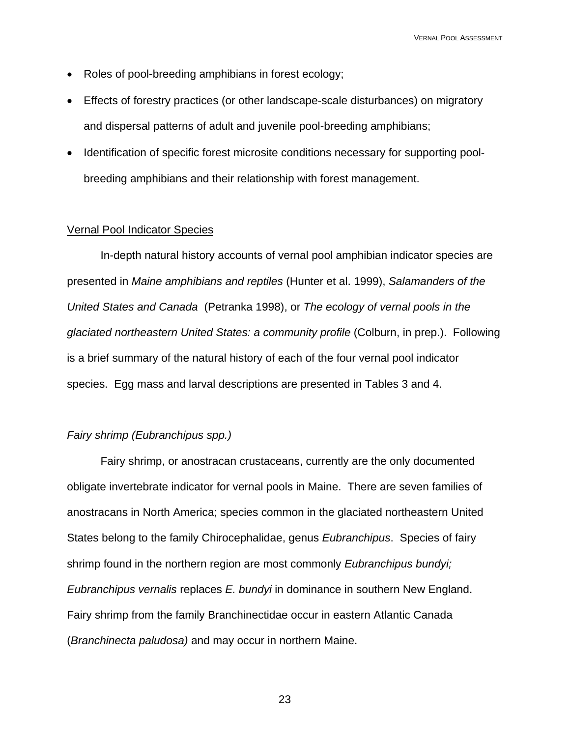- Roles of pool-breeding amphibians in forest ecology;
- Effects of forestry practices (or other landscape-scale disturbances) on migratory and dispersal patterns of adult and juvenile pool-breeding amphibians;
- Identification of specific forest microsite conditions necessary for supporting poolbreeding amphibians and their relationship with forest management.

### Vernal Pool Indicator Species

In-depth natural history accounts of vernal pool amphibian indicator species are presented in *Maine amphibians and reptiles* (Hunter et al. 1999), *Salamanders of the United States and Canada* (Petranka 1998), or *The ecology of vernal pools in the glaciated northeastern United States: a community profile* (Colburn, in prep.). Following is a brief summary of the natural history of each of the four vernal pool indicator species. Egg mass and larval descriptions are presented in Tables 3 and 4.

### *Fairy shrimp (Eubranchipus spp.)*

Fairy shrimp, or anostracan crustaceans, currently are the only documented obligate invertebrate indicator for vernal pools in Maine. There are seven families of anostracans in North America; species common in the glaciated northeastern United States belong to the family Chirocephalidae, genus *Eubranchipus*. Species of fairy shrimp found in the northern region are most commonly *Eubranchipus bundyi; Eubranchipus vernalis* replaces *E. bundyi* in dominance in southern New England. Fairy shrimp from the family Branchinectidae occur in eastern Atlantic Canada (*Branchinecta paludosa)* and may occur in northern Maine.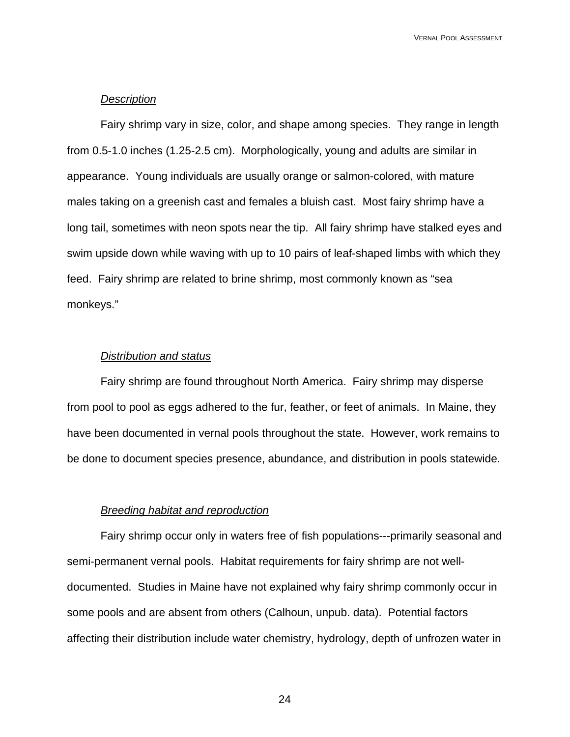### *Description*

Fairy shrimp vary in size, color, and shape among species. They range in length from 0.5-1.0 inches (1.25-2.5 cm). Morphologically, young and adults are similar in appearance. Young individuals are usually orange or salmon-colored, with mature males taking on a greenish cast and females a bluish cast. Most fairy shrimp have a long tail, sometimes with neon spots near the tip. All fairy shrimp have stalked eyes and swim upside down while waving with up to 10 pairs of leaf-shaped limbs with which they feed. Fairy shrimp are related to brine shrimp, most commonly known as "sea monkeys."

### *Distribution and status*

Fairy shrimp are found throughout North America. Fairy shrimp may disperse from pool to pool as eggs adhered to the fur, feather, or feet of animals. In Maine, they have been documented in vernal pools throughout the state. However, work remains to be done to document species presence, abundance, and distribution in pools statewide.

### *Breeding habitat and reproduction*

Fairy shrimp occur only in waters free of fish populations---primarily seasonal and semi-permanent vernal pools. Habitat requirements for fairy shrimp are not welldocumented. Studies in Maine have not explained why fairy shrimp commonly occur in some pools and are absent from others (Calhoun, unpub. data). Potential factors affecting their distribution include water chemistry, hydrology, depth of unfrozen water in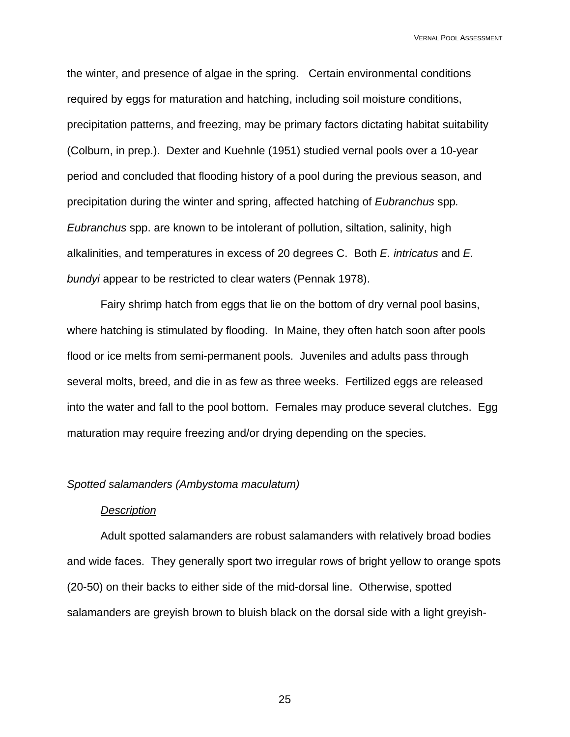the winter, and presence of algae in the spring. Certain environmental conditions required by eggs for maturation and hatching, including soil moisture conditions, precipitation patterns, and freezing, may be primary factors dictating habitat suitability (Colburn, in prep.). Dexter and Kuehnle (1951) studied vernal pools over a 10-year period and concluded that flooding history of a pool during the previous season, and precipitation during the winter and spring, affected hatching of *Eubranchus* spp*. Eubranchus* spp. are known to be intolerant of pollution, siltation, salinity, high alkalinities, and temperatures in excess of 20 degrees C. Both *E. intricatus* and *E. bundyi* appear to be restricted to clear waters (Pennak 1978).

Fairy shrimp hatch from eggs that lie on the bottom of dry vernal pool basins, where hatching is stimulated by flooding. In Maine, they often hatch soon after pools flood or ice melts from semi-permanent pools. Juveniles and adults pass through several molts, breed, and die in as few as three weeks. Fertilized eggs are released into the water and fall to the pool bottom. Females may produce several clutches. Egg maturation may require freezing and/or drying depending on the species.

### *Spotted salamanders (Ambystoma maculatum)*

#### *Description*

Adult spotted salamanders are robust salamanders with relatively broad bodies and wide faces. They generally sport two irregular rows of bright yellow to orange spots (20-50) on their backs to either side of the mid-dorsal line. Otherwise, spotted salamanders are greyish brown to bluish black on the dorsal side with a light greyish-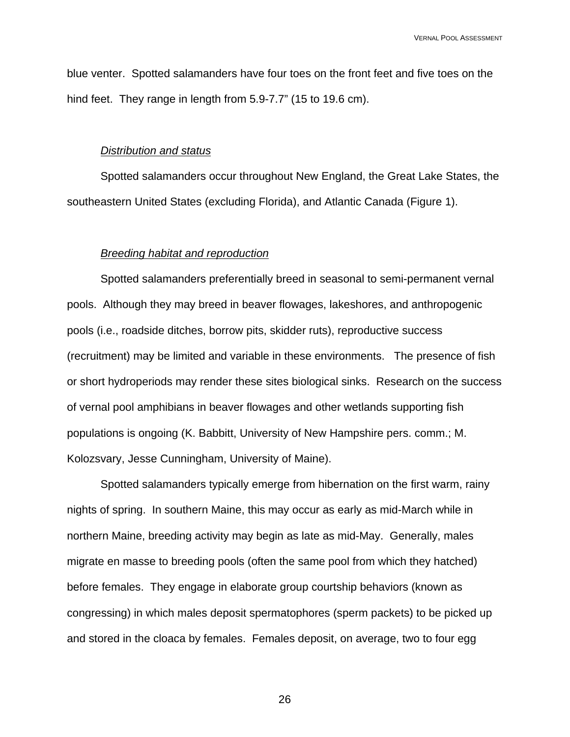blue venter. Spotted salamanders have four toes on the front feet and five toes on the hind feet. They range in length from 5.9-7.7" (15 to 19.6 cm).

### *Distribution and status*

Spotted salamanders occur throughout New England, the Great Lake States, the southeastern United States (excluding Florida), and Atlantic Canada (Figure 1).

### *Breeding habitat and reproduction*

Spotted salamanders preferentially breed in seasonal to semi-permanent vernal pools. Although they may breed in beaver flowages, lakeshores, and anthropogenic pools (i.e., roadside ditches, borrow pits, skidder ruts), reproductive success (recruitment) may be limited and variable in these environments. The presence of fish or short hydroperiods may render these sites biological sinks. Research on the success of vernal pool amphibians in beaver flowages and other wetlands supporting fish populations is ongoing (K. Babbitt, University of New Hampshire pers. comm.; M. Kolozsvary, Jesse Cunningham, University of Maine).

Spotted salamanders typically emerge from hibernation on the first warm, rainy nights of spring. In southern Maine, this may occur as early as mid-March while in northern Maine, breeding activity may begin as late as mid-May. Generally, males migrate en masse to breeding pools (often the same pool from which they hatched) before females. They engage in elaborate group courtship behaviors (known as congressing) in which males deposit spermatophores (sperm packets) to be picked up and stored in the cloaca by females. Females deposit, on average, two to four egg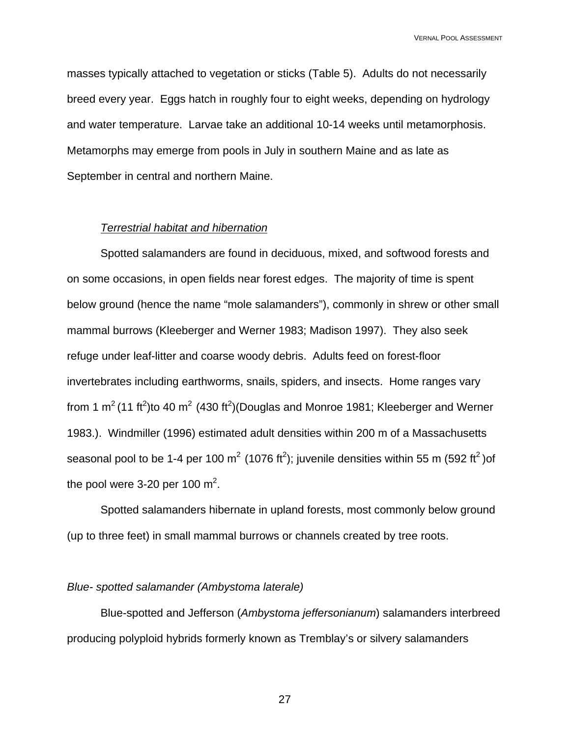masses typically attached to vegetation or sticks (Table 5). Adults do not necessarily breed every year. Eggs hatch in roughly four to eight weeks, depending on hydrology and water temperature. Larvae take an additional 10-14 weeks until metamorphosis. Metamorphs may emerge from pools in July in southern Maine and as late as September in central and northern Maine.

### *Terrestrial habitat and hibernation*

Spotted salamanders are found in deciduous, mixed, and softwood forests and on some occasions, in open fields near forest edges. The majority of time is spent below ground (hence the name "mole salamanders"), commonly in shrew or other small mammal burrows (Kleeberger and Werner 1983; Madison 1997). They also seek refuge under leaf-litter and coarse woody debris. Adults feed on forest-floor invertebrates including earthworms, snails, spiders, and insects. Home ranges vary from 1 m<sup>2</sup> (11 ft<sup>2</sup>)to 40 m<sup>2</sup> (430 ft<sup>2</sup>)(Douglas and Monroe 1981; Kleeberger and Werner 1983.). Windmiller (1996) estimated adult densities within 200 m of a Massachusetts seasonal pool to be 1-4 per 100 m<sup>2</sup> (1076 ft<sup>2</sup>); juvenile densities within 55 m (592 ft<sup>2</sup>)of the pool were 3-20 per 100  $m^2$ .

Spotted salamanders hibernate in upland forests, most commonly below ground (up to three feet) in small mammal burrows or channels created by tree roots.

### *Blue- spotted salamander (Ambystoma laterale)*

Blue-spotted and Jefferson (*Ambystoma jeffersonianum*) salamanders interbreed producing polyploid hybrids formerly known as Tremblay's or silvery salamanders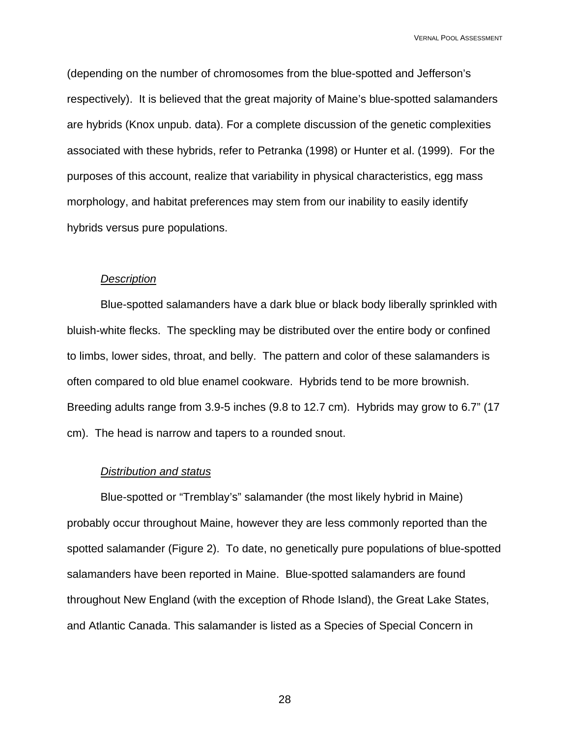(depending on the number of chromosomes from the blue-spotted and Jefferson's respectively). It is believed that the great majority of Maine's blue-spotted salamanders are hybrids (Knox unpub. data). For a complete discussion of the genetic complexities associated with these hybrids, refer to Petranka (1998) or Hunter et al. (1999). For the purposes of this account, realize that variability in physical characteristics, egg mass morphology, and habitat preferences may stem from our inability to easily identify hybrids versus pure populations.

### *Description*

Blue-spotted salamanders have a dark blue or black body liberally sprinkled with bluish-white flecks. The speckling may be distributed over the entire body or confined to limbs, lower sides, throat, and belly. The pattern and color of these salamanders is often compared to old blue enamel cookware. Hybrids tend to be more brownish. Breeding adults range from 3.9-5 inches (9.8 to 12.7 cm). Hybrids may grow to 6.7" (17 cm). The head is narrow and tapers to a rounded snout.

#### *Distribution and status*

Blue-spotted or "Tremblay's" salamander (the most likely hybrid in Maine) probably occur throughout Maine, however they are less commonly reported than the spotted salamander (Figure 2). To date, no genetically pure populations of blue-spotted salamanders have been reported in Maine. Blue-spotted salamanders are found throughout New England (with the exception of Rhode Island), the Great Lake States, and Atlantic Canada. This salamander is listed as a Species of Special Concern in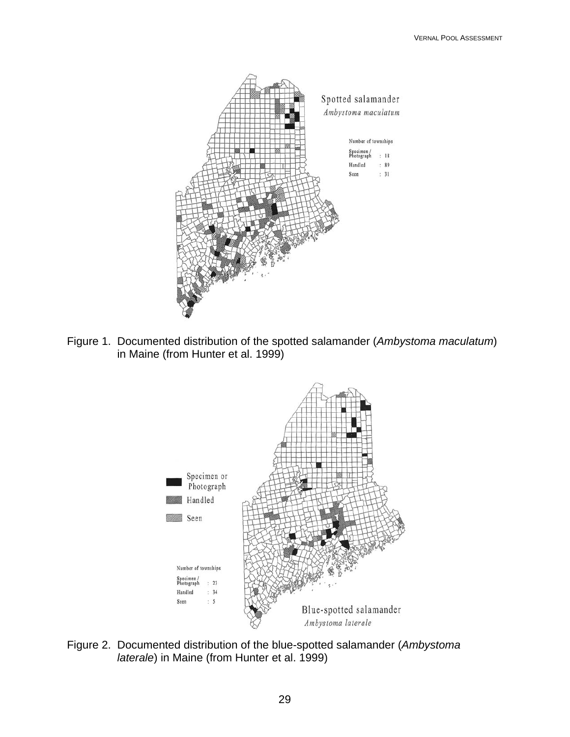

Figure 1. Documented distribution of the spotted salamander (*Ambystoma maculatum*) in Maine (from Hunter et al. 1999)



Figure 2. Documented distribution of the blue-spotted salamander (*Ambystoma laterale*) in Maine (from Hunter et al. 1999)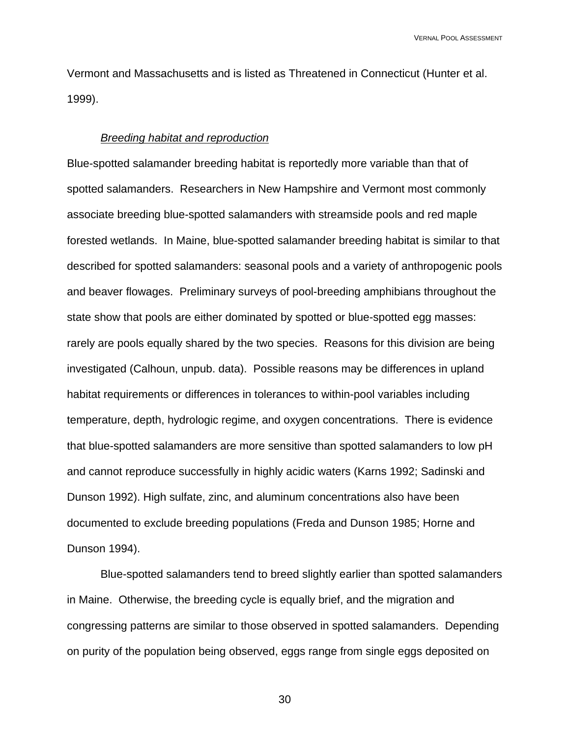Vermont and Massachusetts and is listed as Threatened in Connecticut (Hunter et al. 1999).

### *Breeding habitat and reproduction*

Blue-spotted salamander breeding habitat is reportedly more variable than that of spotted salamanders. Researchers in New Hampshire and Vermont most commonly associate breeding blue-spotted salamanders with streamside pools and red maple forested wetlands. In Maine, blue-spotted salamander breeding habitat is similar to that described for spotted salamanders: seasonal pools and a variety of anthropogenic pools and beaver flowages. Preliminary surveys of pool-breeding amphibians throughout the state show that pools are either dominated by spotted or blue-spotted egg masses: rarely are pools equally shared by the two species. Reasons for this division are being investigated (Calhoun, unpub. data). Possible reasons may be differences in upland habitat requirements or differences in tolerances to within-pool variables including temperature, depth, hydrologic regime, and oxygen concentrations. There is evidence that blue-spotted salamanders are more sensitive than spotted salamanders to low pH and cannot reproduce successfully in highly acidic waters (Karns 1992; Sadinski and Dunson 1992). High sulfate, zinc, and aluminum concentrations also have been documented to exclude breeding populations (Freda and Dunson 1985; Horne and Dunson 1994).

 Blue-spotted salamanders tend to breed slightly earlier than spotted salamanders in Maine. Otherwise, the breeding cycle is equally brief, and the migration and congressing patterns are similar to those observed in spotted salamanders. Depending on purity of the population being observed, eggs range from single eggs deposited on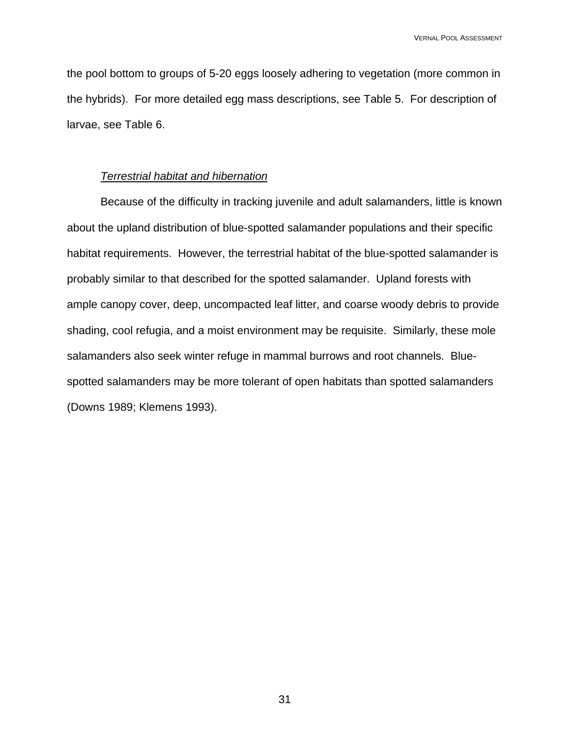the pool bottom to groups of 5-20 eggs loosely adhering to vegetation (more common in the hybrids). For more detailed egg mass descriptions, see Table 5. For description of larvae, see Table 6.

### *Terrestrial habitat and hibernation*

Because of the difficulty in tracking juvenile and adult salamanders, little is known about the upland distribution of blue-spotted salamander populations and their specific habitat requirements. However, the terrestrial habitat of the blue-spotted salamander is probably similar to that described for the spotted salamander. Upland forests with ample canopy cover, deep, uncompacted leaf litter, and coarse woody debris to provide shading, cool refugia, and a moist environment may be requisite. Similarly, these mole salamanders also seek winter refuge in mammal burrows and root channels. Bluespotted salamanders may be more tolerant of open habitats than spotted salamanders (Downs 1989; Klemens 1993).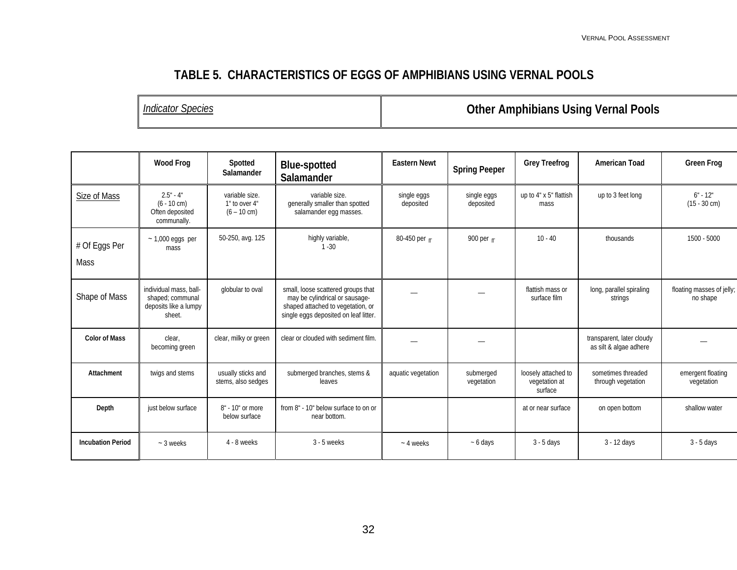# **TABLE 5. CHARACTERISTICS OF EGGS OF AMPHIBIANS USING VERNAL POOLS**

*Indicator Species* **Other Amphibians Using Vernal Pools** 

|                          | <b>Wood Frog</b>                                                              | Spotted<br>Salamander                                    | <b>Blue-spotted</b><br>Salamander                                                                                                                  | <b>Eastern Newt</b>      | <b>Spring Peeper</b>     | <b>Grey Treefrog</b>                            | <b>American Toad</b>                                | <b>Green Frog</b>                     |
|--------------------------|-------------------------------------------------------------------------------|----------------------------------------------------------|----------------------------------------------------------------------------------------------------------------------------------------------------|--------------------------|--------------------------|-------------------------------------------------|-----------------------------------------------------|---------------------------------------|
| Size of Mass             | $2.5 - 4$<br>$(6 - 10$ cm)<br>Often deposited<br>communally.                  | variable size.<br>1" to over 4"<br>$(6 - 10 \text{ cm})$ | variable size.<br>generally smaller than spotted<br>salamander egg masses.                                                                         | single eggs<br>deposited | single eggs<br>deposited | up to 4" x 5" flattish<br>mass                  | up to 3 feet long                                   | $6 - 12$<br>$(15 - 30 \text{ cm})$    |
| # Of Eggs Per<br>Mass    | $\sim$ 1,000 eggs per<br>mass                                                 | 50-250, avg. 125                                         | highly variable,<br>$1 - 30$                                                                                                                       | 80-450 per $\pi$         | 900 per $\mathsf{r}$     | $10 - 40$                                       | thousands                                           | 1500 - 5000                           |
| Shape of Mass            | individual mass, ball-<br>shaped; communal<br>deposits like a lumpy<br>sheet. | globular to oval                                         | small, loose scattered groups that<br>may be cylindrical or sausage-<br>shaped attached to vegetation, or<br>single eggs deposited on leaf litter. |                          |                          | flattish mass or<br>surface film                | long, parallel spiraling<br>strings                 | floating masses of jelly;<br>no shape |
| <b>Color of Mass</b>     | clear.<br>becoming green                                                      | clear, milky or green                                    | clear or clouded with sediment film.                                                                                                               |                          |                          |                                                 | transparent, later cloudy<br>as silt & algae adhere |                                       |
| Attachment               | twigs and stems                                                               | usually sticks and<br>stems, also sedges                 | submerged branches, stems &<br>leaves                                                                                                              | aquatic vegetation       | submerged<br>vegetation  | loosely attached to<br>vegetation at<br>surface | sometimes threaded<br>through vegetation            | emergent floating<br>vegetation       |
| Depth                    | just below surface                                                            | $8u$ - 10 <sup>u</sup> or more<br>below surface          | from 8" - 10" below surface to on or<br>near bottom.                                                                                               |                          |                          | at or near surface                              | on open bottom                                      | shallow water                         |
| <b>Incubation Period</b> | $\sim$ 3 weeks                                                                | 4 - 8 weeks                                              | $3 - 5$ weeks                                                                                                                                      | $~-$ 4 weeks             | $~5$ days                | $3 - 5$ days                                    | 3 - 12 days                                         | $3 - 5$ days                          |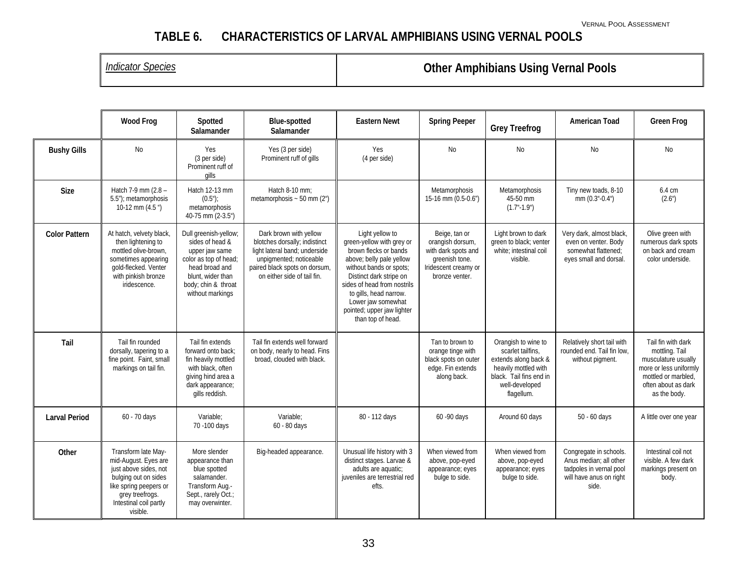# **TABLE 6. CHARACTERISTICS OF LARVAL AMPHIBIANS USING VERNAL POOLS**

# *Indicator Species* **Other Amphibians Using Vernal Pools**

|                      | <b>Wood Frog</b>                                                                                                                                                                | Spotted<br>Salamander                                                                                                                                                 | <b>Blue-spotted</b><br>Salamander                                                                                                                                                   | <b>Eastern Newt</b>                                                                                                                                                                                                                                                                       | <b>Spring Peeper</b>                                                                                                 | <b>Grey Treefrog</b>                                                                                                                                | <b>American Toad</b>                                                                                            | <b>Green Frog</b>                                                                                                                                   |
|----------------------|---------------------------------------------------------------------------------------------------------------------------------------------------------------------------------|-----------------------------------------------------------------------------------------------------------------------------------------------------------------------|-------------------------------------------------------------------------------------------------------------------------------------------------------------------------------------|-------------------------------------------------------------------------------------------------------------------------------------------------------------------------------------------------------------------------------------------------------------------------------------------|----------------------------------------------------------------------------------------------------------------------|-----------------------------------------------------------------------------------------------------------------------------------------------------|-----------------------------------------------------------------------------------------------------------------|-----------------------------------------------------------------------------------------------------------------------------------------------------|
| <b>Bushy Gills</b>   | <b>No</b>                                                                                                                                                                       | Yes<br>(3 per side)<br>Prominent ruff of<br>gills                                                                                                                     | Yes (3 per side)<br>Prominent ruff of gills                                                                                                                                         | Yes<br>(4 per side)                                                                                                                                                                                                                                                                       | <b>No</b>                                                                                                            | <b>No</b>                                                                                                                                           | <b>No</b>                                                                                                       | <b>No</b>                                                                                                                                           |
| <b>Size</b>          | Hatch 7-9 mm (2.8 -<br>5.5"); metamorphosis<br>10-12 mm $(4.5'')$                                                                                                               | Hatch 12-13 mm<br>(0.5")<br>metamorphosis<br>40-75 mm (2-3.5")                                                                                                        | Hatch 8-10 mm:<br>metamorphosis $\sim$ 50 mm (2")                                                                                                                                   |                                                                                                                                                                                                                                                                                           | Metamorphosis<br>15-16 mm (0.5-0.6")                                                                                 | Metamorphosis<br>45-50 mm<br>$(1.7 - 1.9)$                                                                                                          | Tiny new toads, 8-10<br>$mm(0.3 - 0.4)$                                                                         | 6.4 cm<br>(2.6 <sup>n</sup> )                                                                                                                       |
| <b>Color Pattern</b> | At hatch, velvety black,<br>then lightening to<br>mottled olive-brown.<br>sometimes appearing<br>gold-flecked. Venter<br>with pinkish bronze<br>iridescence.                    | Dull greenish-yellow;<br>sides of head &<br>upper jaw same<br>color as top of head;<br>head broad and<br>blunt, wider than<br>body; chin & throat<br>without markings | Dark brown with yellow<br>blotches dorsally; indistinct<br>light lateral band; underside<br>unpigmented; noticeable<br>paired black spots on dorsum,<br>on either side of tail fin. | Light yellow to<br>green-yellow with grey or<br>brown flecks or bands<br>above; belly pale yellow<br>without bands or spots;<br>Distinct dark stripe on<br>sides of head from nostrils<br>to gills, head narrow.<br>Lower jaw somewhat<br>pointed; upper jaw lighter<br>than top of head. | Beige, tan or<br>orangish dorsum,<br>with dark spots and<br>greenish tone.<br>Iridescent creamy or<br>bronze venter. | Light brown to dark<br>green to black; venter<br>white: intestinal coil<br>visible.                                                                 | Very dark, almost black,<br>even on venter. Body<br>somewhat flattened:<br>eyes small and dorsal.               | Olive green with<br>numerous dark spots<br>on back and cream<br>color underside.                                                                    |
| Tail                 | Tail fin rounded<br>dorsally, tapering to a<br>fine point. Faint, small<br>markings on tail fin.                                                                                | Tail fin extends<br>forward onto back:<br>fin heavily mottled<br>with black, often<br>giving hind area a<br>dark appearance;<br>gills reddish.                        | Tail fin extends well forward<br>on body, nearly to head. Fins<br>broad, clouded with black.                                                                                        |                                                                                                                                                                                                                                                                                           | Tan to brown to<br>orange tinge with<br>black spots on outer<br>edge. Fin extends<br>along back.                     | Orangish to wine to<br>scarlet tailfins.<br>extends along back &<br>heavily mottled with<br>black. Tail fins end in<br>well-developed<br>flagellum. | Relatively short tail with<br>rounded end. Tail fin low.<br>without pigment.                                    | Tail fin with dark<br>mottling. Tail<br>musculature usually<br>more or less uniformly<br>mottled or marbled.<br>often about as dark<br>as the body. |
| <b>Larval Period</b> | 60 - 70 days                                                                                                                                                                    | Variable:<br>70 -100 days                                                                                                                                             | Variable:<br>60 - 80 days                                                                                                                                                           | 80 - 112 days                                                                                                                                                                                                                                                                             | 60 - 90 days                                                                                                         | Around 60 days                                                                                                                                      | 50 - 60 days                                                                                                    | A little over one year                                                                                                                              |
| Other                | Transform late May-<br>mid-August. Eyes are<br>just above sides, not<br>bulging out on sides<br>like spring peepers or<br>grey treefrogs.<br>Intestinal coil partly<br>visible. | More slender<br>appearance than<br>blue spotted<br>salamander.<br>Transform Aug.-<br>Sept., rarely Oct.;<br>may overwinter.                                           | Big-headed appearance.                                                                                                                                                              | Unusual life history with 3<br>distinct stages. Larvae &<br>adults are aquatic;<br>juveniles are terrestrial red<br>efts.                                                                                                                                                                 | When viewed from<br>above, pop-eyed<br>appearance; eyes<br>bulge to side.                                            | When viewed from<br>above, pop-eyed<br>appearance; eyes<br>bulge to side.                                                                           | Congregate in schools.<br>Anus median; all other<br>tadpoles in vernal pool<br>will have anus on right<br>side. | Intestinal coil not<br>visible. A few dark<br>markings present on<br>body.                                                                          |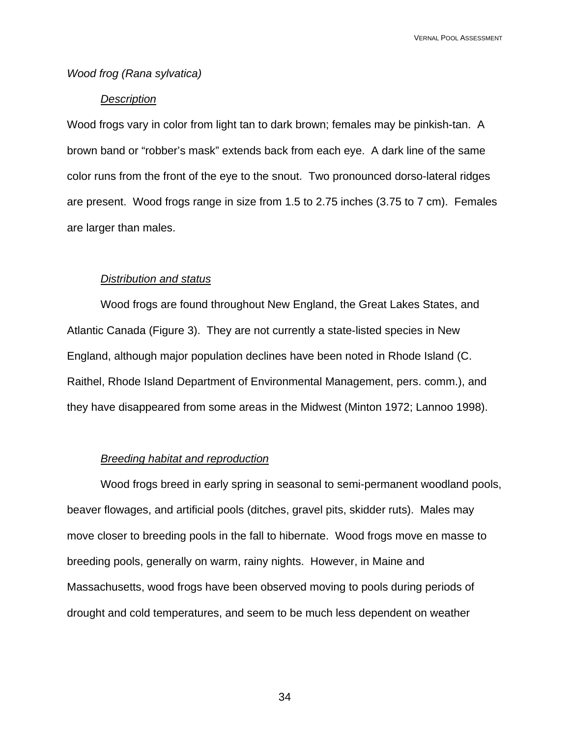### *Wood frog (Rana sylvatica)*

### *Description*

Wood frogs vary in color from light tan to dark brown; females may be pinkish-tan. A brown band or "robber's mask" extends back from each eye. A dark line of the same color runs from the front of the eye to the snout. Two pronounced dorso-lateral ridges are present. Wood frogs range in size from 1.5 to 2.75 inches (3.75 to 7 cm). Females are larger than males.

### *Distribution and status*

Wood frogs are found throughout New England, the Great Lakes States, and Atlantic Canada (Figure 3). They are not currently a state-listed species in New England, although major population declines have been noted in Rhode Island (C. Raithel, Rhode Island Department of Environmental Management, pers. comm.), and they have disappeared from some areas in the Midwest (Minton 1972; Lannoo 1998).

### *Breeding habitat and reproduction*

Wood frogs breed in early spring in seasonal to semi-permanent woodland pools, beaver flowages, and artificial pools (ditches, gravel pits, skidder ruts). Males may move closer to breeding pools in the fall to hibernate. Wood frogs move en masse to breeding pools, generally on warm, rainy nights. However, in Maine and Massachusetts, wood frogs have been observed moving to pools during periods of drought and cold temperatures, and seem to be much less dependent on weather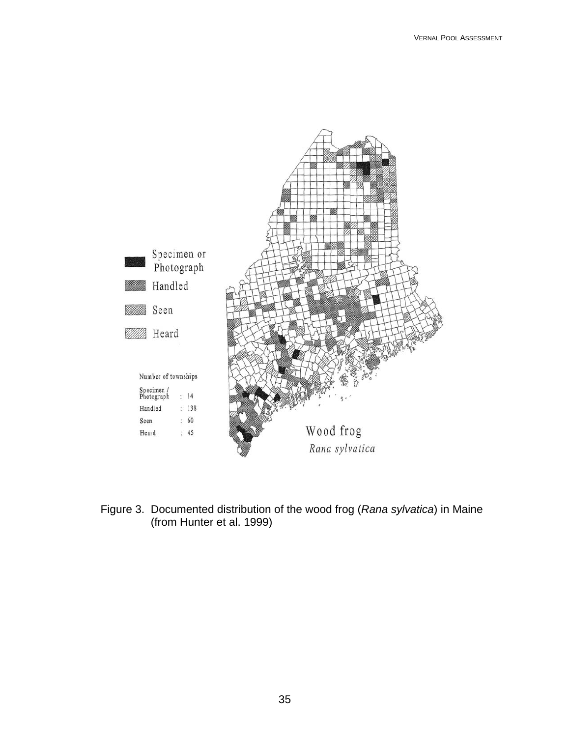

Figure 3. Documented distribution of the wood frog (*Rana sylvatica*) in Maine (from Hunter et al. 1999)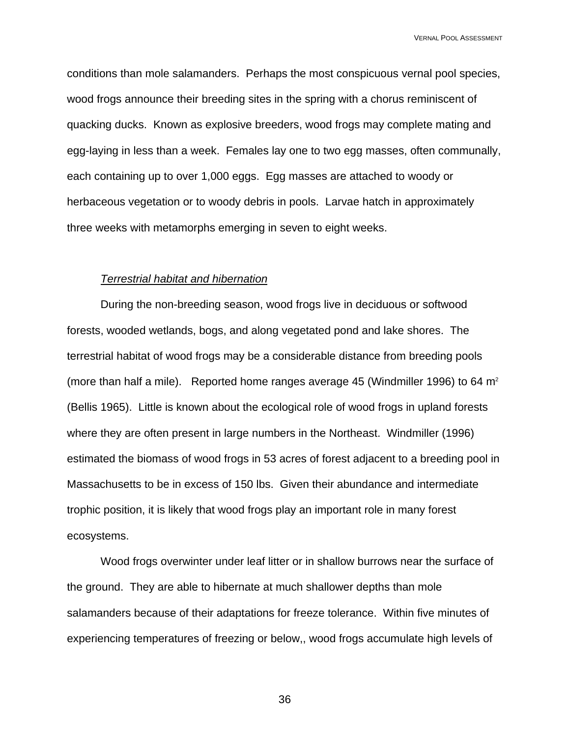conditions than mole salamanders. Perhaps the most conspicuous vernal pool species, wood frogs announce their breeding sites in the spring with a chorus reminiscent of quacking ducks. Known as explosive breeders, wood frogs may complete mating and egg-laying in less than a week. Females lay one to two egg masses, often communally, each containing up to over 1,000 eggs. Egg masses are attached to woody or herbaceous vegetation or to woody debris in pools. Larvae hatch in approximately three weeks with metamorphs emerging in seven to eight weeks.

### *Terrestrial habitat and hibernation*

During the non-breeding season, wood frogs live in deciduous or softwood forests, wooded wetlands, bogs, and along vegetated pond and lake shores. The terrestrial habitat of wood frogs may be a considerable distance from breeding pools (more than half a mile). Reported home ranges average 45 (Windmiller 1996) to 64  $m<sup>2</sup>$ (Bellis 1965). Little is known about the ecological role of wood frogs in upland forests where they are often present in large numbers in the Northeast. Windmiller (1996) estimated the biomass of wood frogs in 53 acres of forest adjacent to a breeding pool in Massachusetts to be in excess of 150 lbs. Given their abundance and intermediate trophic position, it is likely that wood frogs play an important role in many forest ecosystems.

 Wood frogs overwinter under leaf litter or in shallow burrows near the surface of the ground. They are able to hibernate at much shallower depths than mole salamanders because of their adaptations for freeze tolerance. Within five minutes of experiencing temperatures of freezing or below,, wood frogs accumulate high levels of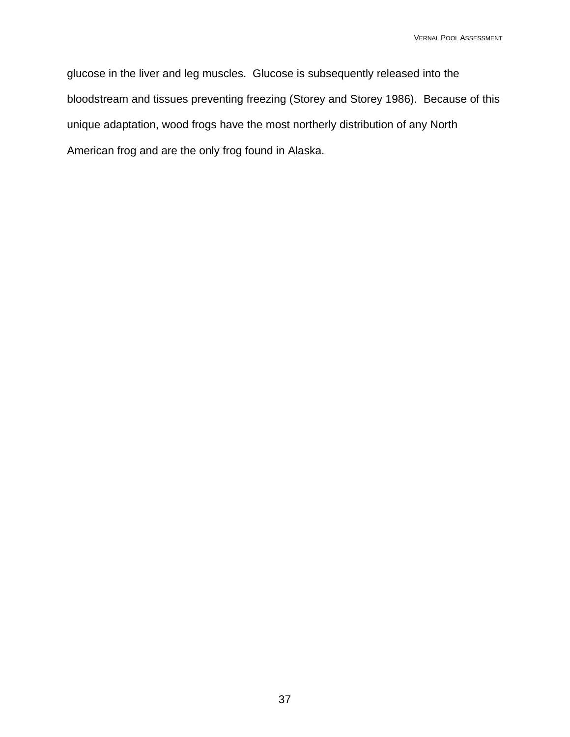glucose in the liver and leg muscles. Glucose is subsequently released into the bloodstream and tissues preventing freezing (Storey and Storey 1986). Because of this unique adaptation, wood frogs have the most northerly distribution of any North American frog and are the only frog found in Alaska.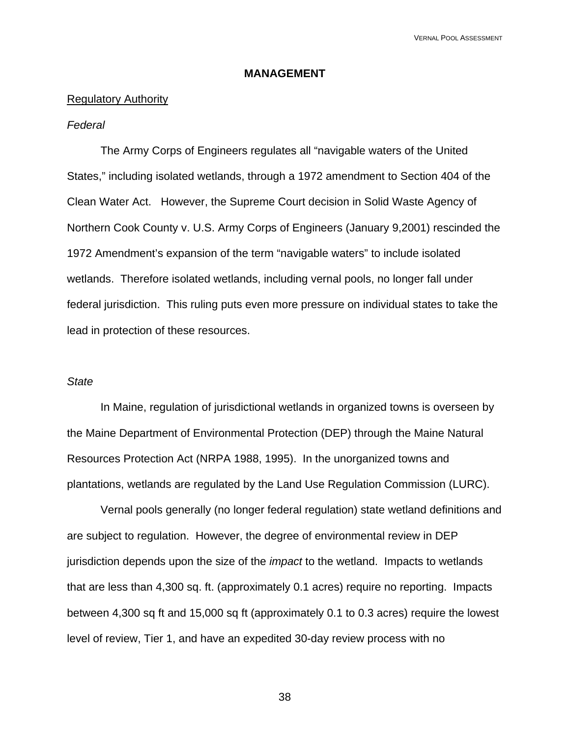### **MANAGEMENT**

#### Regulatory Authority

### *Federal*

The Army Corps of Engineers regulates all "navigable waters of the United States," including isolated wetlands, through a 1972 amendment to Section 404 of the Clean Water Act. However, the Supreme Court decision in Solid Waste Agency of Northern Cook County v. U.S. Army Corps of Engineers (January 9,2001) rescinded the 1972 Amendment's expansion of the term "navigable waters" to include isolated wetlands. Therefore isolated wetlands, including vernal pools, no longer fall under federal jurisdiction. This ruling puts even more pressure on individual states to take the lead in protection of these resources.

### *State*

 In Maine, regulation of jurisdictional wetlands in organized towns is overseen by the Maine Department of Environmental Protection (DEP) through the Maine Natural Resources Protection Act (NRPA 1988, 1995). In the unorganized towns and plantations, wetlands are regulated by the Land Use Regulation Commission (LURC).

Vernal pools generally (no longer federal regulation) state wetland definitions and are subject to regulation. However, the degree of environmental review in DEP jurisdiction depends upon the size of the *impact* to the wetland. Impacts to wetlands that are less than 4,300 sq. ft. (approximately 0.1 acres) require no reporting. Impacts between 4,300 sq ft and 15,000 sq ft (approximately 0.1 to 0.3 acres) require the lowest level of review, Tier 1, and have an expedited 30-day review process with no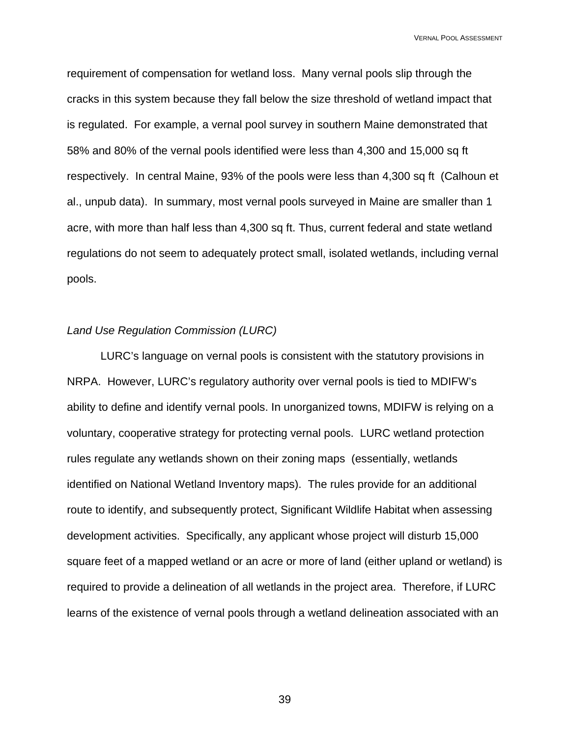requirement of compensation for wetland loss. Many vernal pools slip through the cracks in this system because they fall below the size threshold of wetland impact that is regulated. For example, a vernal pool survey in southern Maine demonstrated that 58% and 80% of the vernal pools identified were less than 4,300 and 15,000 sq ft respectively. In central Maine, 93% of the pools were less than 4,300 sq ft (Calhoun et al., unpub data). In summary, most vernal pools surveyed in Maine are smaller than 1 acre, with more than half less than 4,300 sq ft. Thus, current federal and state wetland regulations do not seem to adequately protect small, isolated wetlands, including vernal pools.

### *Land Use Regulation Commission (LURC)*

LURC's language on vernal pools is consistent with the statutory provisions in NRPA. However, LURC's regulatory authority over vernal pools is tied to MDIFW's ability to define and identify vernal pools. In unorganized towns, MDIFW is relying on a voluntary, cooperative strategy for protecting vernal pools. LURC wetland protection rules regulate any wetlands shown on their zoning maps (essentially, wetlands identified on National Wetland Inventory maps). The rules provide for an additional route to identify, and subsequently protect, Significant Wildlife Habitat when assessing development activities. Specifically, any applicant whose project will disturb 15,000 square feet of a mapped wetland or an acre or more of land (either upland or wetland) is required to provide a delineation of all wetlands in the project area. Therefore, if LURC learns of the existence of vernal pools through a wetland delineation associated with an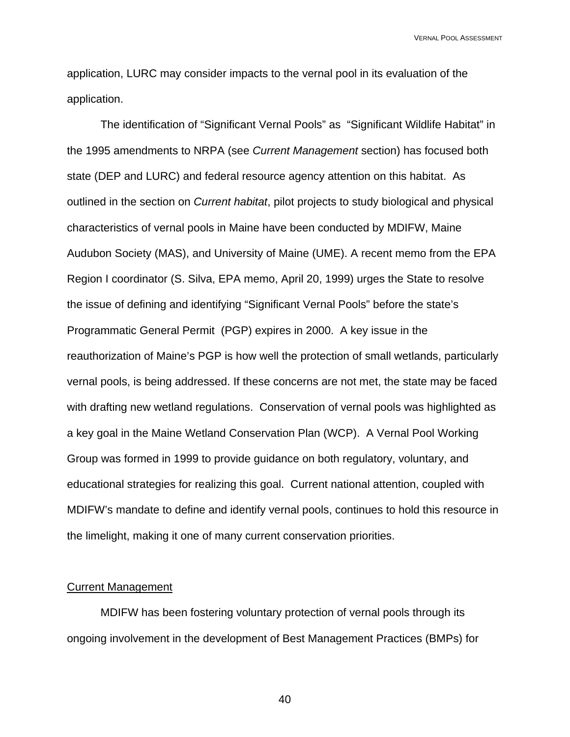application, LURC may consider impacts to the vernal pool in its evaluation of the application.

The identification of "Significant Vernal Pools" as "Significant Wildlife Habitat" in the 1995 amendments to NRPA (see *Current Management* section) has focused both state (DEP and LURC) and federal resource agency attention on this habitat. As outlined in the section on *Current habitat*, pilot projects to study biological and physical characteristics of vernal pools in Maine have been conducted by MDIFW, Maine Audubon Society (MAS), and University of Maine (UME). A recent memo from the EPA Region I coordinator (S. Silva, EPA memo, April 20, 1999) urges the State to resolve the issue of defining and identifying "Significant Vernal Pools" before the state's Programmatic General Permit (PGP) expires in 2000. A key issue in the reauthorization of Maine's PGP is how well the protection of small wetlands, particularly vernal pools, is being addressed. If these concerns are not met, the state may be faced with drafting new wetland regulations. Conservation of vernal pools was highlighted as a key goal in the Maine Wetland Conservation Plan (WCP). A Vernal Pool Working Group was formed in 1999 to provide guidance on both regulatory, voluntary, and educational strategies for realizing this goal. Current national attention, coupled with MDIFW's mandate to define and identify vernal pools, continues to hold this resource in the limelight, making it one of many current conservation priorities.

### Current Management

MDIFW has been fostering voluntary protection of vernal pools through its ongoing involvement in the development of Best Management Practices (BMPs) for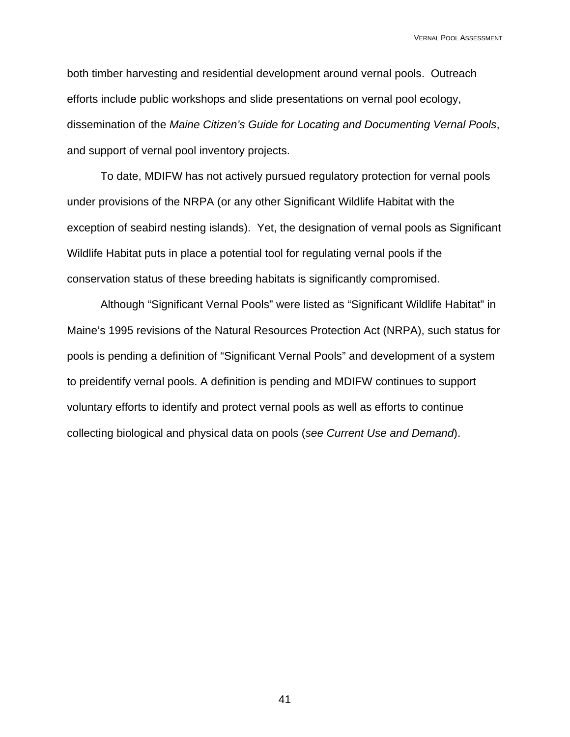both timber harvesting and residential development around vernal pools. Outreach efforts include public workshops and slide presentations on vernal pool ecology, dissemination of the *Maine Citizen's Guide for Locating and Documenting Vernal Pools*, and support of vernal pool inventory projects.

To date, MDIFW has not actively pursued regulatory protection for vernal pools under provisions of the NRPA (or any other Significant Wildlife Habitat with the exception of seabird nesting islands). Yet, the designation of vernal pools as Significant Wildlife Habitat puts in place a potential tool for regulating vernal pools if the conservation status of these breeding habitats is significantly compromised.

Although "Significant Vernal Pools" were listed as "Significant Wildlife Habitat" in Maine's 1995 revisions of the Natural Resources Protection Act (NRPA), such status for pools is pending a definition of "Significant Vernal Pools" and development of a system to preidentify vernal pools. A definition is pending and MDIFW continues to support voluntary efforts to identify and protect vernal pools as well as efforts to continue collecting biological and physical data on pools (*see Current Use and Demand*).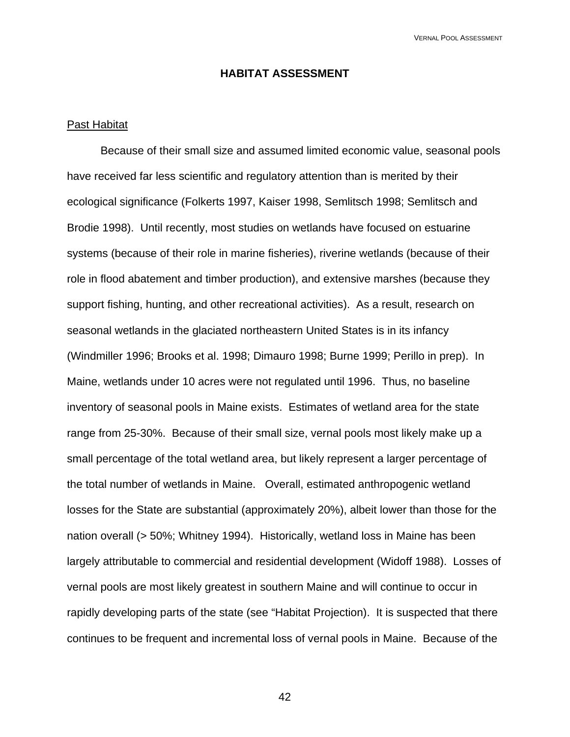### **HABITAT ASSESSMENT**

### Past Habitat

Because of their small size and assumed limited economic value, seasonal pools have received far less scientific and regulatory attention than is merited by their ecological significance (Folkerts 1997, Kaiser 1998, Semlitsch 1998; Semlitsch and Brodie 1998). Until recently, most studies on wetlands have focused on estuarine systems (because of their role in marine fisheries), riverine wetlands (because of their role in flood abatement and timber production), and extensive marshes (because they support fishing, hunting, and other recreational activities). As a result, research on seasonal wetlands in the glaciated northeastern United States is in its infancy (Windmiller 1996; Brooks et al. 1998; Dimauro 1998; Burne 1999; Perillo in prep). In Maine, wetlands under 10 acres were not regulated until 1996. Thus, no baseline inventory of seasonal pools in Maine exists. Estimates of wetland area for the state range from 25-30%. Because of their small size, vernal pools most likely make up a small percentage of the total wetland area, but likely represent a larger percentage of the total number of wetlands in Maine. Overall, estimated anthropogenic wetland losses for the State are substantial (approximately 20%), albeit lower than those for the nation overall (> 50%; Whitney 1994). Historically, wetland loss in Maine has been largely attributable to commercial and residential development (Widoff 1988). Losses of vernal pools are most likely greatest in southern Maine and will continue to occur in rapidly developing parts of the state (see "Habitat Projection). It is suspected that there continues to be frequent and incremental loss of vernal pools in Maine. Because of the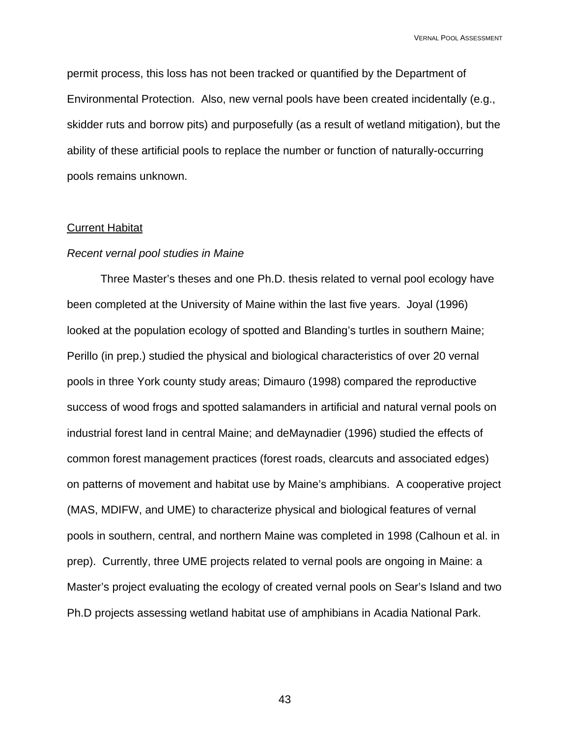permit process, this loss has not been tracked or quantified by the Department of Environmental Protection. Also, new vernal pools have been created incidentally (e.g., skidder ruts and borrow pits) and purposefully (as a result of wetland mitigation), but the ability of these artificial pools to replace the number or function of naturally-occurring pools remains unknown.

#### Current Habitat

### *Recent vernal pool studies in Maine*

Three Master's theses and one Ph.D. thesis related to vernal pool ecology have been completed at the University of Maine within the last five years. Joyal (1996) looked at the population ecology of spotted and Blanding's turtles in southern Maine; Perillo (in prep.) studied the physical and biological characteristics of over 20 vernal pools in three York county study areas; Dimauro (1998) compared the reproductive success of wood frogs and spotted salamanders in artificial and natural vernal pools on industrial forest land in central Maine; and deMaynadier (1996) studied the effects of common forest management practices (forest roads, clearcuts and associated edges) on patterns of movement and habitat use by Maine's amphibians. A cooperative project (MAS, MDIFW, and UME) to characterize physical and biological features of vernal pools in southern, central, and northern Maine was completed in 1998 (Calhoun et al. in prep). Currently, three UME projects related to vernal pools are ongoing in Maine: a Master's project evaluating the ecology of created vernal pools on Sear's Island and two Ph.D projects assessing wetland habitat use of amphibians in Acadia National Park.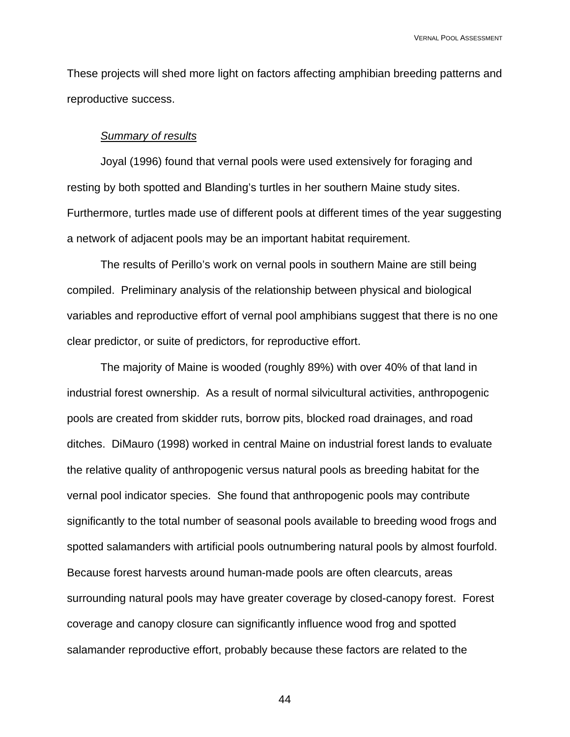These projects will shed more light on factors affecting amphibian breeding patterns and reproductive success.

### *Summary of results*

Joyal (1996) found that vernal pools were used extensively for foraging and resting by both spotted and Blanding's turtles in her southern Maine study sites. Furthermore, turtles made use of different pools at different times of the year suggesting a network of adjacent pools may be an important habitat requirement.

The results of Perillo's work on vernal pools in southern Maine are still being compiled. Preliminary analysis of the relationship between physical and biological variables and reproductive effort of vernal pool amphibians suggest that there is no one clear predictor, or suite of predictors, for reproductive effort.

 The majority of Maine is wooded (roughly 89%) with over 40% of that land in industrial forest ownership. As a result of normal silvicultural activities, anthropogenic pools are created from skidder ruts, borrow pits, blocked road drainages, and road ditches. DiMauro (1998) worked in central Maine on industrial forest lands to evaluate the relative quality of anthropogenic versus natural pools as breeding habitat for the vernal pool indicator species. She found that anthropogenic pools may contribute significantly to the total number of seasonal pools available to breeding wood frogs and spotted salamanders with artificial pools outnumbering natural pools by almost fourfold. Because forest harvests around human-made pools are often clearcuts, areas surrounding natural pools may have greater coverage by closed-canopy forest. Forest coverage and canopy closure can significantly influence wood frog and spotted salamander reproductive effort, probably because these factors are related to the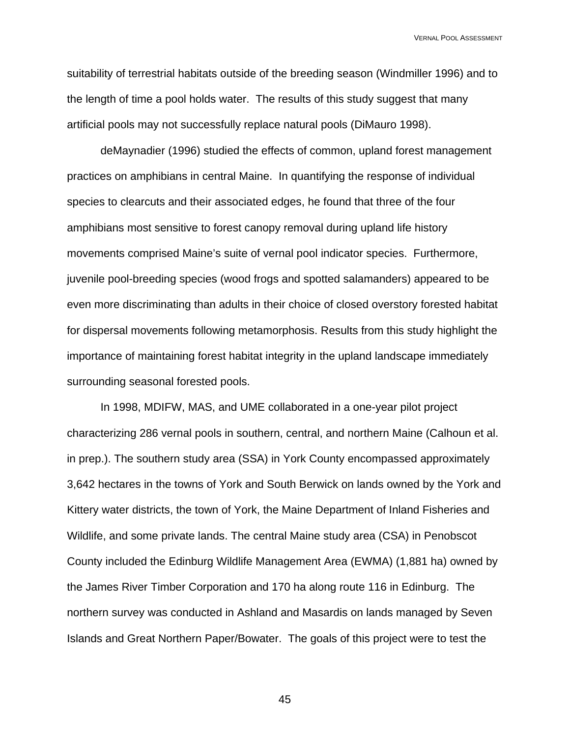suitability of terrestrial habitats outside of the breeding season (Windmiller 1996) and to the length of time a pool holds water. The results of this study suggest that many artificial pools may not successfully replace natural pools (DiMauro 1998).

 deMaynadier (1996) studied the effects of common, upland forest management practices on amphibians in central Maine. In quantifying the response of individual species to clearcuts and their associated edges, he found that three of the four amphibians most sensitive to forest canopy removal during upland life history movements comprised Maine's suite of vernal pool indicator species. Furthermore, juvenile pool-breeding species (wood frogs and spotted salamanders) appeared to be even more discriminating than adults in their choice of closed overstory forested habitat for dispersal movements following metamorphosis. Results from this study highlight the importance of maintaining forest habitat integrity in the upland landscape immediately surrounding seasonal forested pools.

 In 1998, MDIFW, MAS, and UME collaborated in a one-year pilot project characterizing 286 vernal pools in southern, central, and northern Maine (Calhoun et al. in prep.). The southern study area (SSA) in York County encompassed approximately 3,642 hectares in the towns of York and South Berwick on lands owned by the York and Kittery water districts, the town of York, the Maine Department of Inland Fisheries and Wildlife, and some private lands. The central Maine study area (CSA) in Penobscot County included the Edinburg Wildlife Management Area (EWMA) (1,881 ha) owned by the James River Timber Corporation and 170 ha along route 116 in Edinburg. The northern survey was conducted in Ashland and Masardis on lands managed by Seven Islands and Great Northern Paper/Bowater. The goals of this project were to test the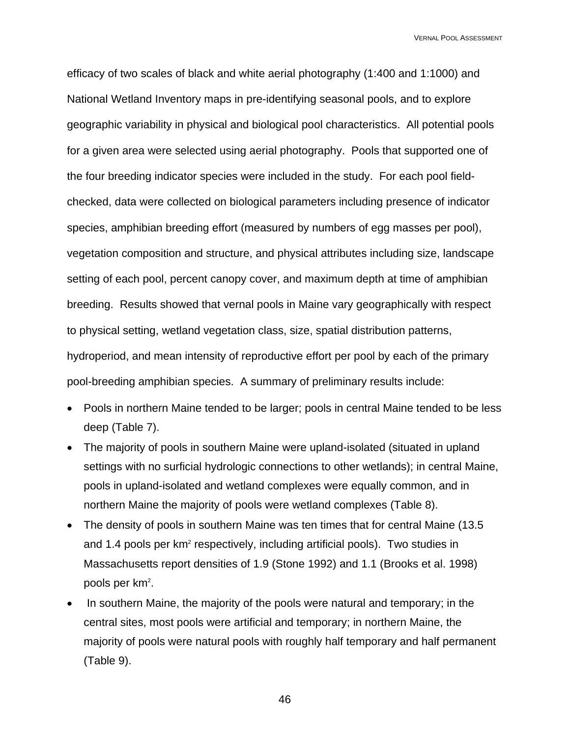efficacy of two scales of black and white aerial photography (1:400 and 1:1000) and National Wetland Inventory maps in pre-identifying seasonal pools, and to explore geographic variability in physical and biological pool characteristics. All potential pools for a given area were selected using aerial photography. Pools that supported one of the four breeding indicator species were included in the study. For each pool fieldchecked, data were collected on biological parameters including presence of indicator species, amphibian breeding effort (measured by numbers of egg masses per pool), vegetation composition and structure, and physical attributes including size, landscape setting of each pool, percent canopy cover, and maximum depth at time of amphibian breeding. Results showed that vernal pools in Maine vary geographically with respect to physical setting, wetland vegetation class, size, spatial distribution patterns, hydroperiod, and mean intensity of reproductive effort per pool by each of the primary pool-breeding amphibian species. A summary of preliminary results include:

- Pools in northern Maine tended to be larger; pools in central Maine tended to be less deep (Table 7).
- The majority of pools in southern Maine were upland-isolated (situated in upland settings with no surficial hydrologic connections to other wetlands); in central Maine, pools in upland-isolated and wetland complexes were equally common, and in northern Maine the majority of pools were wetland complexes (Table 8).
- The density of pools in southern Maine was ten times that for central Maine (13.5) and 1.4 pools per  $km^2$  respectively, including artificial pools). Two studies in Massachusetts report densities of 1.9 (Stone 1992) and 1.1 (Brooks et al. 1998) pools per km<sup>2</sup>.
- In southern Maine, the majority of the pools were natural and temporary; in the central sites, most pools were artificial and temporary; in northern Maine, the majority of pools were natural pools with roughly half temporary and half permanent (Table 9).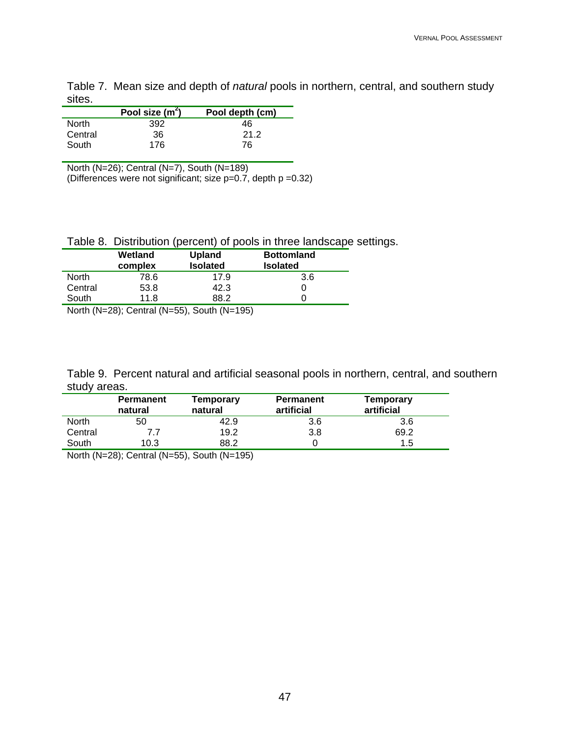Table 7. Mean size and depth of *natural* pools in northern, central, and southern study sites. L,

|         | Pool size $(m^2)$ | Pool depth (cm) |
|---------|-------------------|-----------------|
| North   | 392               | 46              |
| Central | 36                | 21.2            |
| South   | 176               | 76              |

North (N=26); Central (N=7), South (N=189)

(Differences were not significant; size p=0.7, depth p =0.32)

Table 8. Distribution (percent) of pools in three landscape settings.

|              | Wetland<br>complex | Upland<br><b>Isolated</b> | <b>Bottomland</b><br><b>Isolated</b> |
|--------------|--------------------|---------------------------|--------------------------------------|
| <b>North</b> | 78.6               | 17.9                      | 3.6                                  |
| Central      | 53.8               | 42.3                      |                                      |
| South        | 11.8               | 88.2                      |                                      |
|              |                    |                           |                                      |

North (N=28); Central (N=55), South (N=195)

Table 9. Percent natural and artificial seasonal pools in northern, central, and southern study areas.

|              | <b>Permanent</b><br>natural | Temporary<br>natural                                                                                                                    | <b>Permanent</b><br>artificial | Temporary<br>artificial |
|--------------|-----------------------------|-----------------------------------------------------------------------------------------------------------------------------------------|--------------------------------|-------------------------|
| <b>North</b> | 50                          | 42.9                                                                                                                                    | 3.6                            | 3.6                     |
| Central      |                             | 19.2                                                                                                                                    | 3.8                            | 69.2                    |
| South        | 10.3                        | 88.2                                                                                                                                    |                                | 1.5                     |
|              |                             | $\mathbf{a}$ . As an a strip in the strip in the strip in the strip in the strip in the strip in the strip in the strip in $\mathbf{a}$ |                                |                         |

North (N=28); Central (N=55), South (N=195)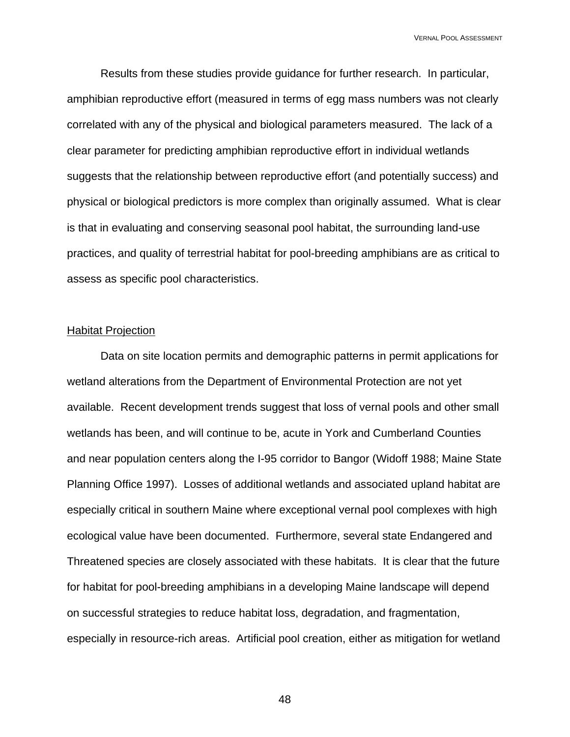Results from these studies provide guidance for further research. In particular, amphibian reproductive effort (measured in terms of egg mass numbers was not clearly correlated with any of the physical and biological parameters measured. The lack of a clear parameter for predicting amphibian reproductive effort in individual wetlands suggests that the relationship between reproductive effort (and potentially success) and physical or biological predictors is more complex than originally assumed. What is clear is that in evaluating and conserving seasonal pool habitat, the surrounding land-use practices, and quality of terrestrial habitat for pool-breeding amphibians are as critical to assess as specific pool characteristics.

### Habitat Projection

Data on site location permits and demographic patterns in permit applications for wetland alterations from the Department of Environmental Protection are not yet available. Recent development trends suggest that loss of vernal pools and other small wetlands has been, and will continue to be, acute in York and Cumberland Counties and near population centers along the I-95 corridor to Bangor (Widoff 1988; Maine State Planning Office 1997). Losses of additional wetlands and associated upland habitat are especially critical in southern Maine where exceptional vernal pool complexes with high ecological value have been documented. Furthermore, several state Endangered and Threatened species are closely associated with these habitats. It is clear that the future for habitat for pool-breeding amphibians in a developing Maine landscape will depend on successful strategies to reduce habitat loss, degradation, and fragmentation, especially in resource-rich areas. Artificial pool creation, either as mitigation for wetland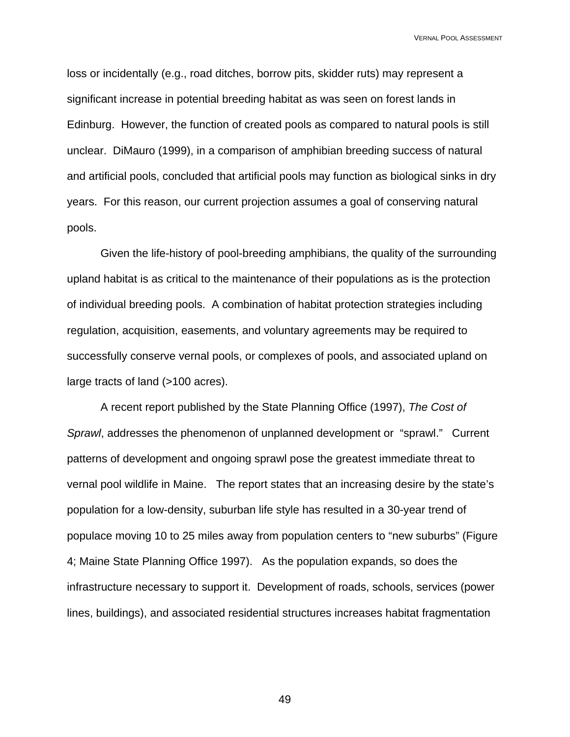loss or incidentally (e.g., road ditches, borrow pits, skidder ruts) may represent a significant increase in potential breeding habitat as was seen on forest lands in Edinburg. However, the function of created pools as compared to natural pools is still unclear. DiMauro (1999), in a comparison of amphibian breeding success of natural and artificial pools, concluded that artificial pools may function as biological sinks in dry years. For this reason, our current projection assumes a goal of conserving natural pools.

Given the life-history of pool-breeding amphibians, the quality of the surrounding upland habitat is as critical to the maintenance of their populations as is the protection of individual breeding pools. A combination of habitat protection strategies including regulation, acquisition, easements, and voluntary agreements may be required to successfully conserve vernal pools, or complexes of pools, and associated upland on large tracts of land (>100 acres).

A recent report published by the State Planning Office (1997), *The Cost of Sprawl*, addresses the phenomenon of unplanned development or "sprawl." Current patterns of development and ongoing sprawl pose the greatest immediate threat to vernal pool wildlife in Maine. The report states that an increasing desire by the state's population for a low-density, suburban life style has resulted in a 30-year trend of populace moving 10 to 25 miles away from population centers to "new suburbs" (Figure 4; Maine State Planning Office 1997). As the population expands, so does the infrastructure necessary to support it. Development of roads, schools, services (power lines, buildings), and associated residential structures increases habitat fragmentation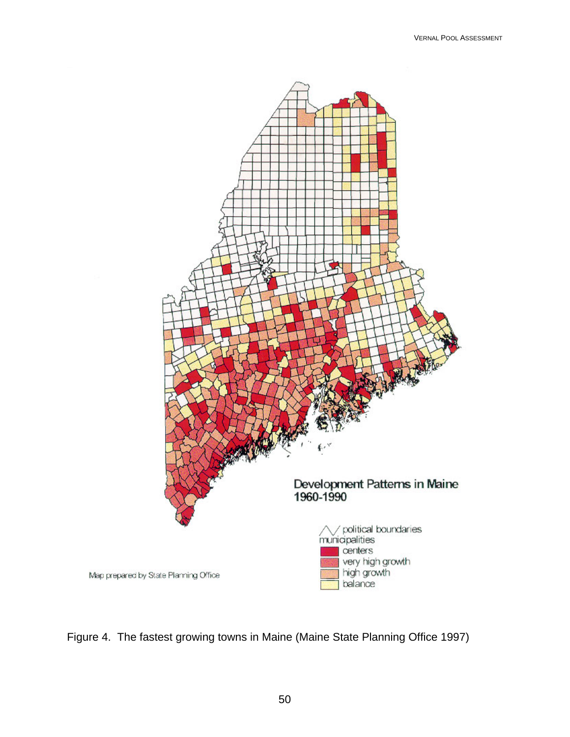

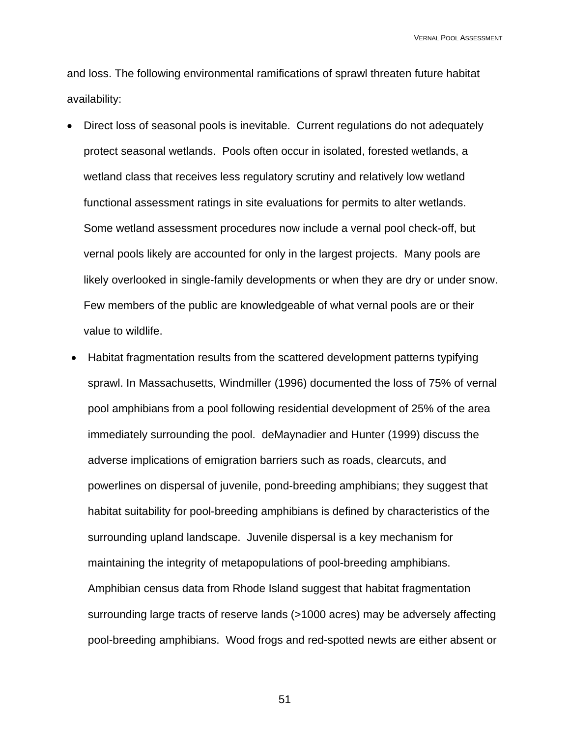and loss. The following environmental ramifications of sprawl threaten future habitat availability:

- Direct loss of seasonal pools is inevitable. Current regulations do not adequately protect seasonal wetlands. Pools often occur in isolated, forested wetlands, a wetland class that receives less regulatory scrutiny and relatively low wetland functional assessment ratings in site evaluations for permits to alter wetlands. Some wetland assessment procedures now include a vernal pool check-off, but vernal pools likely are accounted for only in the largest projects. Many pools are likely overlooked in single-family developments or when they are dry or under snow. Few members of the public are knowledgeable of what vernal pools are or their value to wildlife.
- Habitat fragmentation results from the scattered development patterns typifying sprawl. In Massachusetts, Windmiller (1996) documented the loss of 75% of vernal pool amphibians from a pool following residential development of 25% of the area immediately surrounding the pool. deMaynadier and Hunter (1999) discuss the adverse implications of emigration barriers such as roads, clearcuts, and powerlines on dispersal of juvenile, pond-breeding amphibians; they suggest that habitat suitability for pool-breeding amphibians is defined by characteristics of the surrounding upland landscape. Juvenile dispersal is a key mechanism for maintaining the integrity of metapopulations of pool-breeding amphibians. Amphibian census data from Rhode Island suggest that habitat fragmentation surrounding large tracts of reserve lands (>1000 acres) may be adversely affecting pool-breeding amphibians. Wood frogs and red-spotted newts are either absent or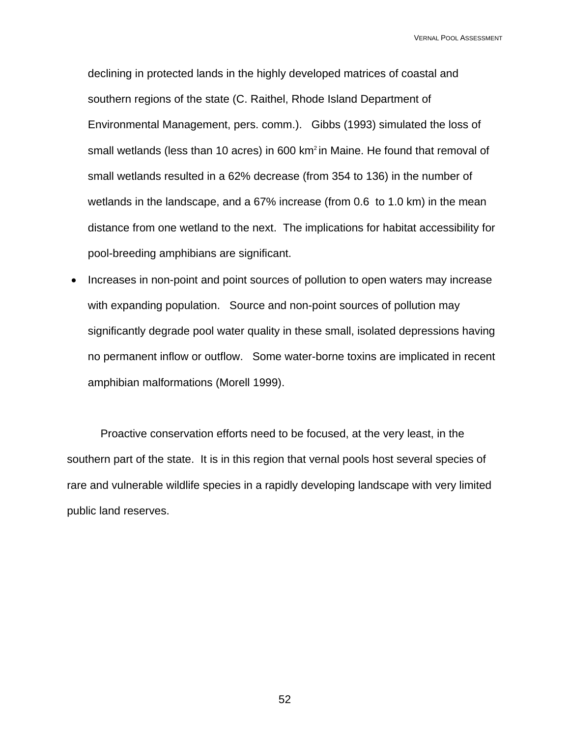declining in protected lands in the highly developed matrices of coastal and southern regions of the state (C. Raithel, Rhode Island Department of Environmental Management, pers. comm.). Gibbs (1993) simulated the loss of small wetlands (less than 10 acres) in 600 km<sup>2</sup> in Maine. He found that removal of small wetlands resulted in a 62% decrease (from 354 to 136) in the number of wetlands in the landscape, and a 67% increase (from 0.6 to 1.0 km) in the mean distance from one wetland to the next. The implications for habitat accessibility for pool-breeding amphibians are significant.

• Increases in non-point and point sources of pollution to open waters may increase with expanding population. Source and non-point sources of pollution may significantly degrade pool water quality in these small, isolated depressions having no permanent inflow or outflow. Some water-borne toxins are implicated in recent amphibian malformations (Morell 1999).

Proactive conservation efforts need to be focused, at the very least, in the southern part of the state. It is in this region that vernal pools host several species of rare and vulnerable wildlife species in a rapidly developing landscape with very limited public land reserves.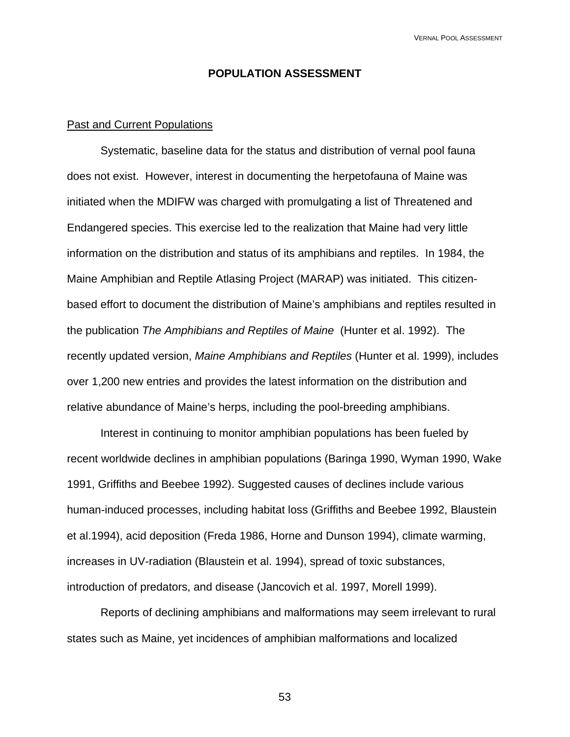### **POPULATION ASSESSMENT**

### Past and Current Populations

Systematic, baseline data for the status and distribution of vernal pool fauna does not exist. However, interest in documenting the herpetofauna of Maine was initiated when the MDIFW was charged with promulgating a list of Threatened and Endangered species. This exercise led to the realization that Maine had very little information on the distribution and status of its amphibians and reptiles. In 1984, the Maine Amphibian and Reptile Atlasing Project (MARAP) was initiated. This citizenbased effort to document the distribution of Maine's amphibians and reptiles resulted in the publication *The Amphibians and Reptiles of Maine* (Hunter et al. 1992). The recently updated version, *Maine Amphibians and Reptiles* (Hunter et al. 1999), includes over 1,200 new entries and provides the latest information on the distribution and relative abundance of Maine's herps, including the pool-breeding amphibians.

 Interest in continuing to monitor amphibian populations has been fueled by recent worldwide declines in amphibian populations (Baringa 1990, Wyman 1990, Wake 1991, Griffiths and Beebee 1992). Suggested causes of declines include various human-induced processes, including habitat loss (Griffiths and Beebee 1992, Blaustein et al.1994), acid deposition (Freda 1986, Horne and Dunson 1994), climate warming, increases in UV-radiation (Blaustein et al. 1994), spread of toxic substances, introduction of predators, and disease (Jancovich et al. 1997, Morell 1999).

 Reports of declining amphibians and malformations may seem irrelevant to rural states such as Maine, yet incidences of amphibian malformations and localized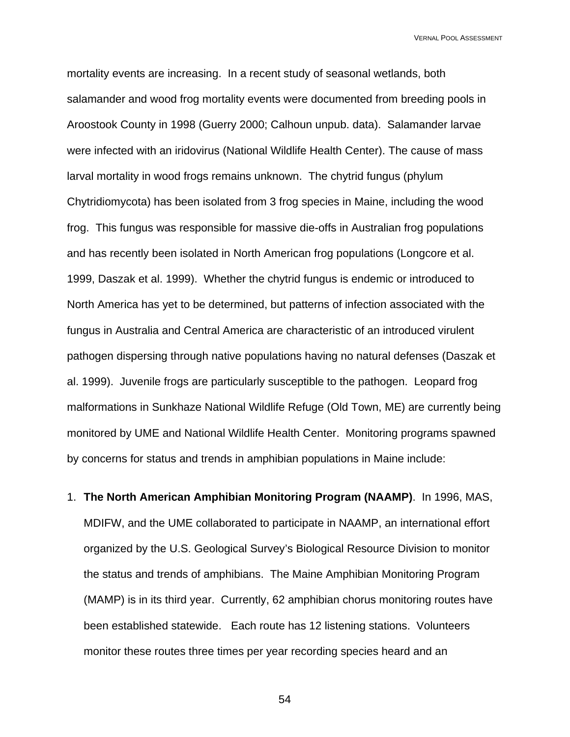mortality events are increasing. In a recent study of seasonal wetlands, both salamander and wood frog mortality events were documented from breeding pools in Aroostook County in 1998 (Guerry 2000; Calhoun unpub. data). Salamander larvae were infected with an iridovirus (National Wildlife Health Center). The cause of mass larval mortality in wood frogs remains unknown. The chytrid fungus (phylum Chytridiomycota) has been isolated from 3 frog species in Maine, including the wood frog. This fungus was responsible for massive die-offs in Australian frog populations and has recently been isolated in North American frog populations (Longcore et al. 1999, Daszak et al. 1999). Whether the chytrid fungus is endemic or introduced to North America has yet to be determined, but patterns of infection associated with the fungus in Australia and Central America are characteristic of an introduced virulent pathogen dispersing through native populations having no natural defenses (Daszak et al. 1999). Juvenile frogs are particularly susceptible to the pathogen. Leopard frog malformations in Sunkhaze National Wildlife Refuge (Old Town, ME) are currently being monitored by UME and National Wildlife Health Center. Monitoring programs spawned by concerns for status and trends in amphibian populations in Maine include:

1. **The North American Amphibian Monitoring Program (NAAMP)**. In 1996, MAS, MDIFW, and the UME collaborated to participate in NAAMP, an international effort organized by the U.S. Geological Survey's Biological Resource Division to monitor the status and trends of amphibians. The Maine Amphibian Monitoring Program (MAMP) is in its third year. Currently, 62 amphibian chorus monitoring routes have been established statewide. Each route has 12 listening stations. Volunteers monitor these routes three times per year recording species heard and an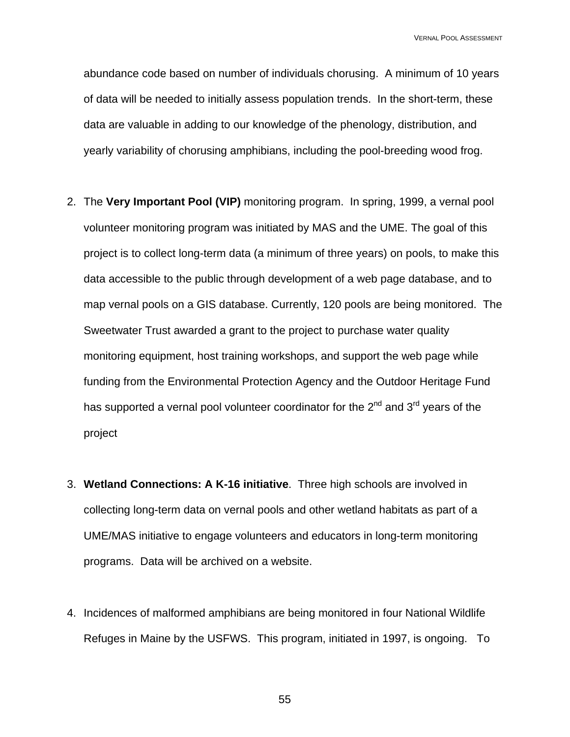abundance code based on number of individuals chorusing. A minimum of 10 years of data will be needed to initially assess population trends. In the short-term, these data are valuable in adding to our knowledge of the phenology, distribution, and yearly variability of chorusing amphibians, including the pool-breeding wood frog.

- 2. The **Very Important Pool (VIP)** monitoring program. In spring, 1999, a vernal pool volunteer monitoring program was initiated by MAS and the UME. The goal of this project is to collect long-term data (a minimum of three years) on pools, to make this data accessible to the public through development of a web page database, and to map vernal pools on a GIS database. Currently, 120 pools are being monitored. The Sweetwater Trust awarded a grant to the project to purchase water quality monitoring equipment, host training workshops, and support the web page while funding from the Environmental Protection Agency and the Outdoor Heritage Fund has supported a vernal pool volunteer coordinator for the  $2^{nd}$  and  $3^{rd}$  years of the project
- 3. **Wetland Connections: A K-16 initiative**. Three high schools are involved in collecting long-term data on vernal pools and other wetland habitats as part of a UME/MAS initiative to engage volunteers and educators in long-term monitoring programs. Data will be archived on a website.
- 4. Incidences of malformed amphibians are being monitored in four National Wildlife Refuges in Maine by the USFWS. This program, initiated in 1997, is ongoing. To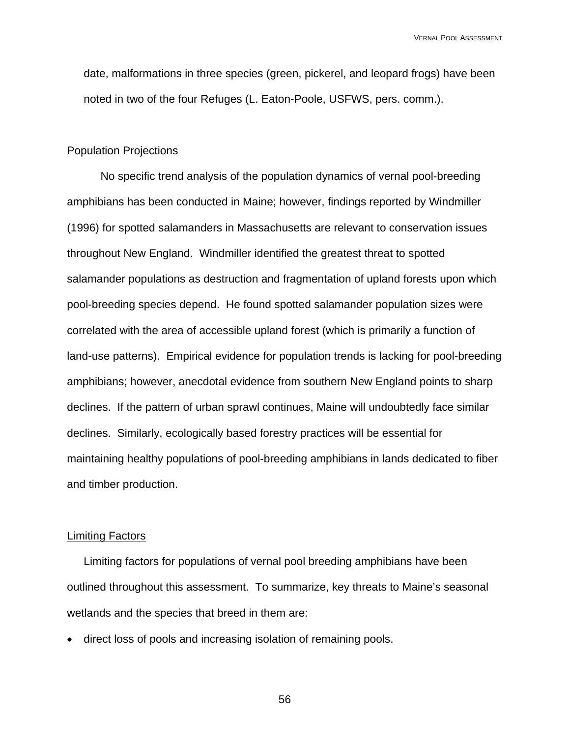date, malformations in three species (green, pickerel, and leopard frogs) have been noted in two of the four Refuges (L. Eaton-Poole, USFWS, pers. comm.).

### Population Projections

No specific trend analysis of the population dynamics of vernal pool-breeding amphibians has been conducted in Maine; however, findings reported by Windmiller (1996) for spotted salamanders in Massachusetts are relevant to conservation issues throughout New England. Windmiller identified the greatest threat to spotted salamander populations as destruction and fragmentation of upland forests upon which pool-breeding species depend. He found spotted salamander population sizes were correlated with the area of accessible upland forest (which is primarily a function of land-use patterns). Empirical evidence for population trends is lacking for pool-breeding amphibians; however, anecdotal evidence from southern New England points to sharp declines. If the pattern of urban sprawl continues, Maine will undoubtedly face similar declines. Similarly, ecologically based forestry practices will be essential for maintaining healthy populations of pool-breeding amphibians in lands dedicated to fiber and timber production.

### Limiting Factors

Limiting factors for populations of vernal pool breeding amphibians have been outlined throughout this assessment. To summarize, key threats to Maine's seasonal wetlands and the species that breed in them are:

• direct loss of pools and increasing isolation of remaining pools.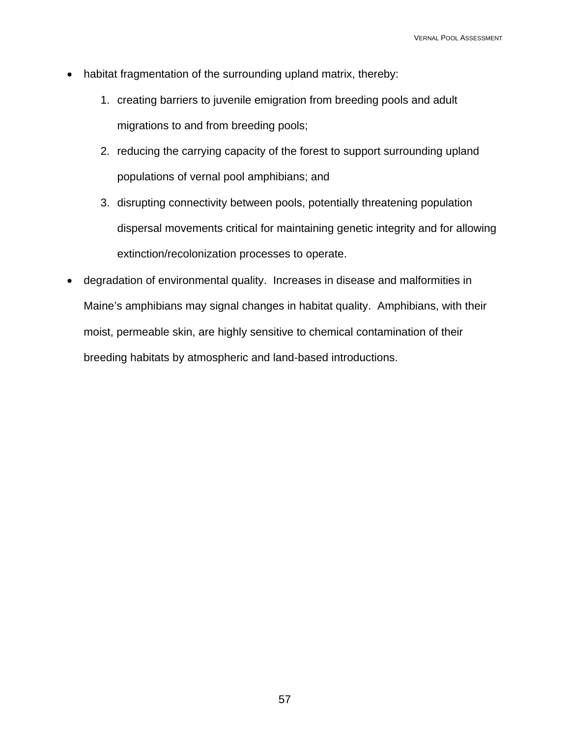- habitat fragmentation of the surrounding upland matrix, thereby:
	- 1. creating barriers to juvenile emigration from breeding pools and adult migrations to and from breeding pools;
	- 2. reducing the carrying capacity of the forest to support surrounding upland populations of vernal pool amphibians; and
	- 3. disrupting connectivity between pools, potentially threatening population dispersal movements critical for maintaining genetic integrity and for allowing extinction/recolonization processes to operate.
- degradation of environmental quality. Increases in disease and malformities in Maine's amphibians may signal changes in habitat quality. Amphibians, with their moist, permeable skin, are highly sensitive to chemical contamination of their breeding habitats by atmospheric and land-based introductions.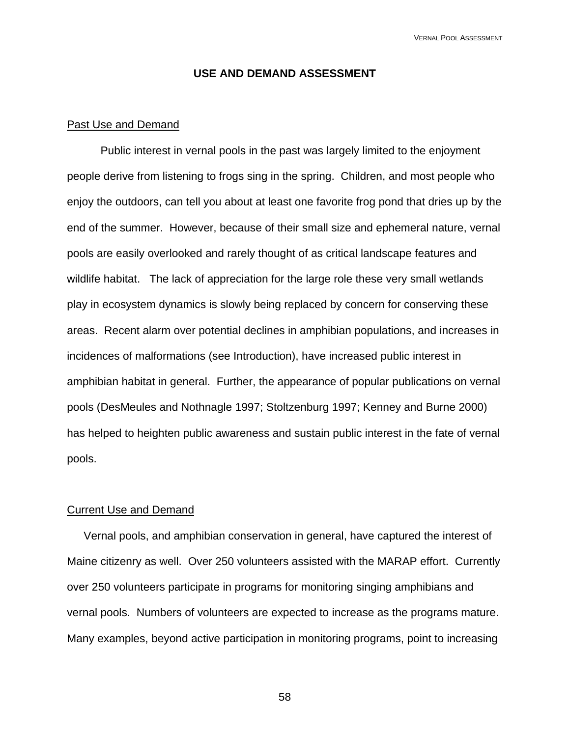### **USE AND DEMAND ASSESSMENT**

### Past Use and Demand

Public interest in vernal pools in the past was largely limited to the enjoyment people derive from listening to frogs sing in the spring. Children, and most people who enjoy the outdoors, can tell you about at least one favorite frog pond that dries up by the end of the summer. However, because of their small size and ephemeral nature, vernal pools are easily overlooked and rarely thought of as critical landscape features and wildlife habitat. The lack of appreciation for the large role these very small wetlands play in ecosystem dynamics is slowly being replaced by concern for conserving these areas. Recent alarm over potential declines in amphibian populations, and increases in incidences of malformations (see Introduction), have increased public interest in amphibian habitat in general. Further, the appearance of popular publications on vernal pools (DesMeules and Nothnagle 1997; Stoltzenburg 1997; Kenney and Burne 2000) has helped to heighten public awareness and sustain public interest in the fate of vernal pools.

### Current Use and Demand

Vernal pools, and amphibian conservation in general, have captured the interest of Maine citizenry as well. Over 250 volunteers assisted with the MARAP effort. Currently over 250 volunteers participate in programs for monitoring singing amphibians and vernal pools. Numbers of volunteers are expected to increase as the programs mature. Many examples, beyond active participation in monitoring programs, point to increasing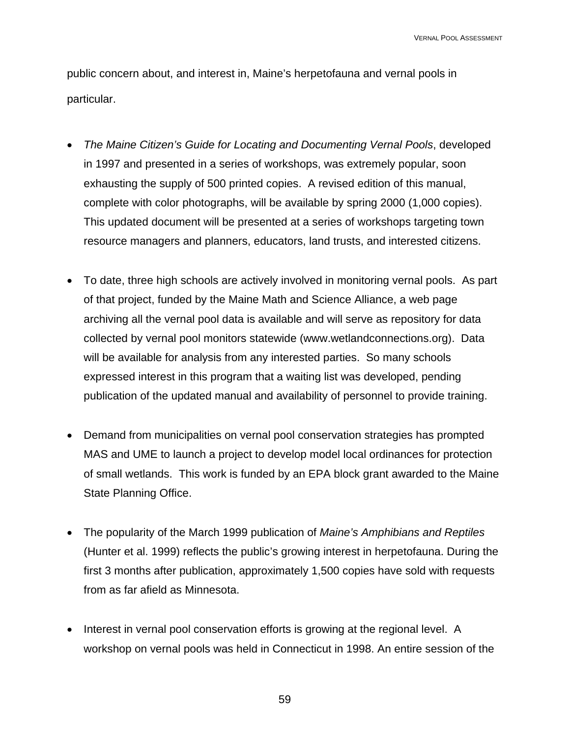public concern about, and interest in, Maine's herpetofauna and vernal pools in particular.

- *The Maine Citizen's Guide for Locating and Documenting Vernal Pools*, developed in 1997 and presented in a series of workshops, was extremely popular, soon exhausting the supply of 500 printed copies. A revised edition of this manual, complete with color photographs, will be available by spring 2000 (1,000 copies). This updated document will be presented at a series of workshops targeting town resource managers and planners, educators, land trusts, and interested citizens.
- To date, three high schools are actively involved in monitoring vernal pools. As part of that project, funded by the Maine Math and Science Alliance, a web page archiving all the vernal pool data is available and will serve as repository for data collected by vernal pool monitors statewide (www.wetlandconnections.org). Data will be available for analysis from any interested parties. So many schools expressed interest in this program that a waiting list was developed, pending publication of the updated manual and availability of personnel to provide training.
- Demand from municipalities on vernal pool conservation strategies has prompted MAS and UME to launch a project to develop model local ordinances for protection of small wetlands. This work is funded by an EPA block grant awarded to the Maine State Planning Office.
- The popularity of the March 1999 publication of *Maine's Amphibians and Reptiles* (Hunter et al. 1999) reflects the public's growing interest in herpetofauna. During the first 3 months after publication, approximately 1,500 copies have sold with requests from as far afield as Minnesota.
- Interest in vernal pool conservation efforts is growing at the regional level. A workshop on vernal pools was held in Connecticut in 1998. An entire session of the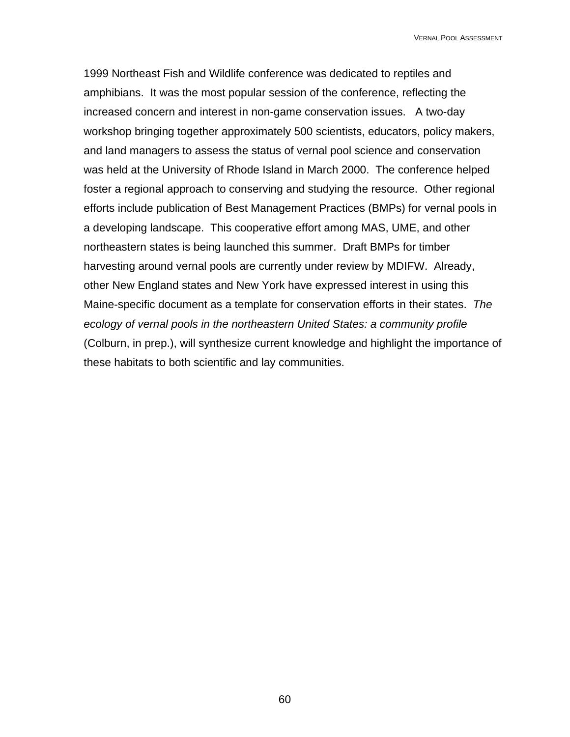1999 Northeast Fish and Wildlife conference was dedicated to reptiles and amphibians. It was the most popular session of the conference, reflecting the increased concern and interest in non-game conservation issues. A two-day workshop bringing together approximately 500 scientists, educators, policy makers, and land managers to assess the status of vernal pool science and conservation was held at the University of Rhode Island in March 2000. The conference helped foster a regional approach to conserving and studying the resource. Other regional efforts include publication of Best Management Practices (BMPs) for vernal pools in a developing landscape. This cooperative effort among MAS, UME, and other northeastern states is being launched this summer. Draft BMPs for timber harvesting around vernal pools are currently under review by MDIFW. Already, other New England states and New York have expressed interest in using this Maine-specific document as a template for conservation efforts in their states. *The ecology of vernal pools in the northeastern United States: a community profile*  (Colburn, in prep.), will synthesize current knowledge and highlight the importance of these habitats to both scientific and lay communities.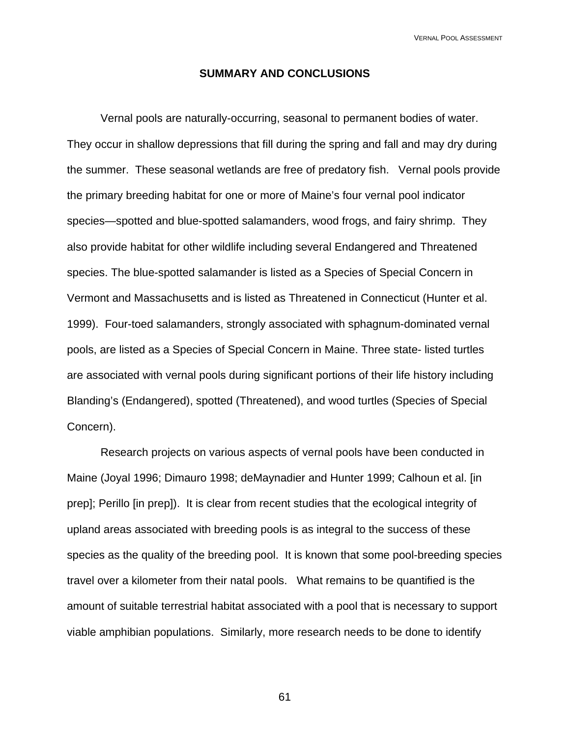### **SUMMARY AND CONCLUSIONS**

Vernal pools are naturally-occurring, seasonal to permanent bodies of water. They occur in shallow depressions that fill during the spring and fall and may dry during the summer. These seasonal wetlands are free of predatory fish. Vernal pools provide the primary breeding habitat for one or more of Maine's four vernal pool indicator species—spotted and blue-spotted salamanders, wood frogs, and fairy shrimp. They also provide habitat for other wildlife including several Endangered and Threatened species. The blue-spotted salamander is listed as a Species of Special Concern in Vermont and Massachusetts and is listed as Threatened in Connecticut (Hunter et al. 1999). Four-toed salamanders, strongly associated with sphagnum-dominated vernal pools, are listed as a Species of Special Concern in Maine. Three state- listed turtles are associated with vernal pools during significant portions of their life history including Blanding's (Endangered), spotted (Threatened), and wood turtles (Species of Special Concern).

 Research projects on various aspects of vernal pools have been conducted in Maine (Joyal 1996; Dimauro 1998; deMaynadier and Hunter 1999; Calhoun et al. [in prep]; Perillo [in prep]). It is clear from recent studies that the ecological integrity of upland areas associated with breeding pools is as integral to the success of these species as the quality of the breeding pool. It is known that some pool-breeding species travel over a kilometer from their natal pools. What remains to be quantified is the amount of suitable terrestrial habitat associated with a pool that is necessary to support viable amphibian populations. Similarly, more research needs to be done to identify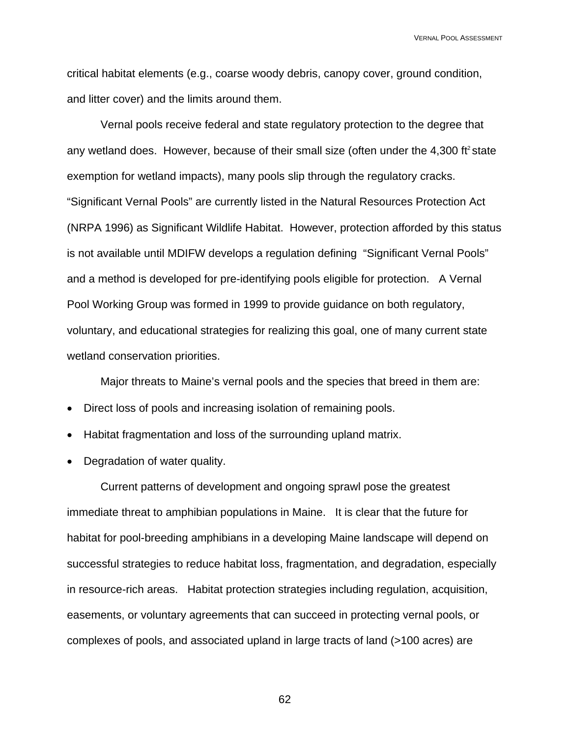critical habitat elements (e.g., coarse woody debris, canopy cover, ground condition, and litter cover) and the limits around them.

 Vernal pools receive federal and state regulatory protection to the degree that any wetland does. However, because of their small size (often under the  $4,300$  ft<sup>2</sup> state exemption for wetland impacts), many pools slip through the regulatory cracks. "Significant Vernal Pools" are currently listed in the Natural Resources Protection Act (NRPA 1996) as Significant Wildlife Habitat. However, protection afforded by this status is not available until MDIFW develops a regulation defining "Significant Vernal Pools" and a method is developed for pre-identifying pools eligible for protection. A Vernal Pool Working Group was formed in 1999 to provide guidance on both regulatory, voluntary, and educational strategies for realizing this goal, one of many current state wetland conservation priorities.

Major threats to Maine's vernal pools and the species that breed in them are:

- Direct loss of pools and increasing isolation of remaining pools.
- Habitat fragmentation and loss of the surrounding upland matrix.
- Degradation of water quality.

Current patterns of development and ongoing sprawl pose the greatest immediate threat to amphibian populations in Maine. It is clear that the future for habitat for pool-breeding amphibians in a developing Maine landscape will depend on successful strategies to reduce habitat loss, fragmentation, and degradation, especially in resource-rich areas. Habitat protection strategies including regulation, acquisition, easements, or voluntary agreements that can succeed in protecting vernal pools, or complexes of pools, and associated upland in large tracts of land (>100 acres) are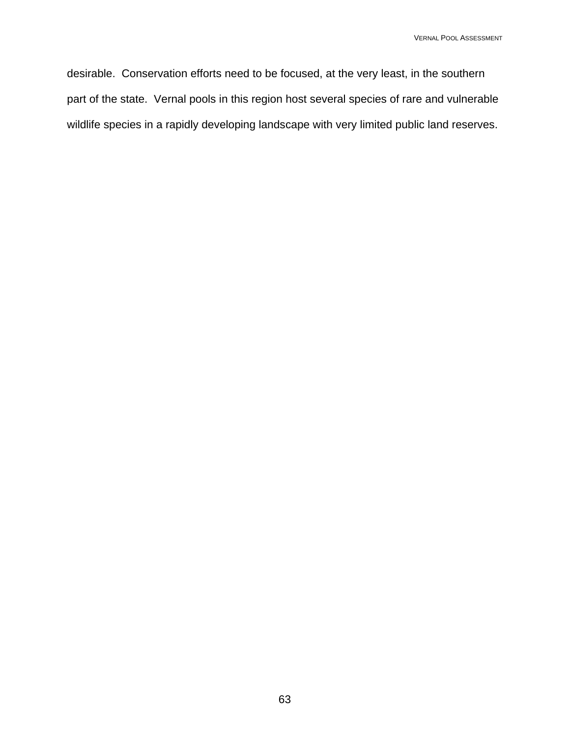desirable. Conservation efforts need to be focused, at the very least, in the southern part of the state. Vernal pools in this region host several species of rare and vulnerable wildlife species in a rapidly developing landscape with very limited public land reserves.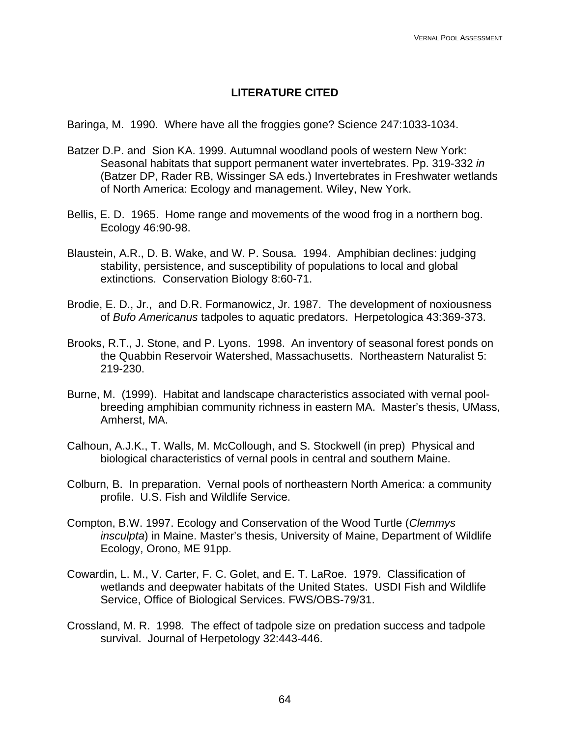# **LITERATURE CITED**

Baringa, M. 1990. Where have all the froggies gone? Science 247:1033-1034.

- Batzer D.P. and Sion KA. 1999. Autumnal woodland pools of western New York: Seasonal habitats that support permanent water invertebrates. Pp. 319-332 *in* (Batzer DP, Rader RB, Wissinger SA eds.) Invertebrates in Freshwater wetlands of North America: Ecology and management. Wiley, New York.
- Bellis, E. D. 1965. Home range and movements of the wood frog in a northern bog. Ecology 46:90-98.
- Blaustein, A.R., D. B. Wake, and W. P. Sousa. 1994. Amphibian declines: judging stability, persistence, and susceptibility of populations to local and global extinctions. Conservation Biology 8:60-71.
- Brodie, E. D., Jr., and D.R. Formanowicz, Jr. 1987. The development of noxiousness of *Bufo Americanus* tadpoles to aquatic predators. Herpetologica 43:369-373.
- Brooks, R.T., J. Stone, and P. Lyons. 1998. An inventory of seasonal forest ponds on the Quabbin Reservoir Watershed, Massachusetts. Northeastern Naturalist 5: 219-230.
- Burne, M. (1999). Habitat and landscape characteristics associated with vernal poolbreeding amphibian community richness in eastern MA. Master's thesis, UMass, Amherst, MA.
- Calhoun, A.J.K., T. Walls, M. McCollough, and S. Stockwell (in prep) Physical and biological characteristics of vernal pools in central and southern Maine.
- Colburn, B. In preparation. Vernal pools of northeastern North America: a community profile. U.S. Fish and Wildlife Service.
- Compton, B.W. 1997. Ecology and Conservation of the Wood Turtle (*Clemmys insculpta*) in Maine. Master's thesis, University of Maine, Department of Wildlife Ecology, Orono, ME 91pp.
- Cowardin, L. M., V. Carter, F. C. Golet, and E. T. LaRoe. 1979. Classification of wetlands and deepwater habitats of the United States. USDI Fish and Wildlife Service, Office of Biological Services. FWS/OBS-79/31.
- Crossland, M. R. 1998. The effect of tadpole size on predation success and tadpole survival. Journal of Herpetology 32:443-446.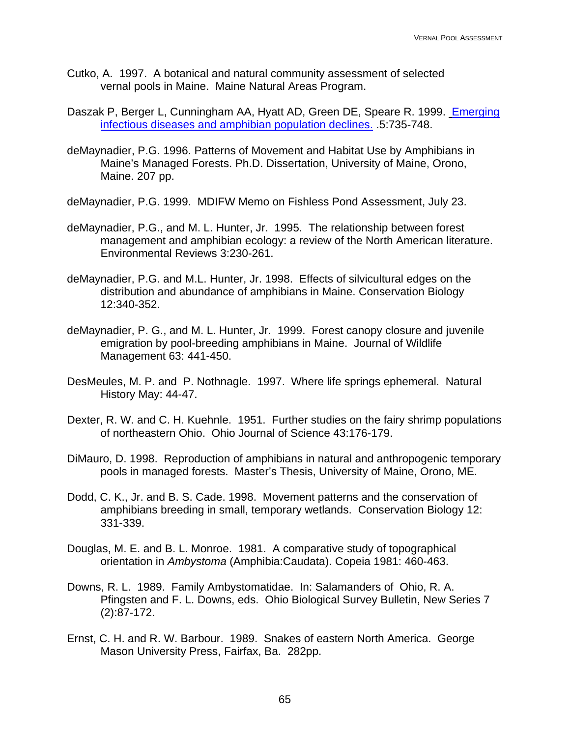- Cutko, A. 1997. A botanical and natural community assessment of selected vernal pools in Maine. Maine Natural Areas Program.
- Daszak P, Berger L, Cunningham AA, Hyatt AD, Green DE, Speare R. 1999. [Emerging](http://www.cdc.gov/ncidod/EID/vol5no6/daszak.htm)  [infectious diseases and amphibian population declines.](http://www.cdc.gov/ncidod/EID/vol5no6/daszak.htm) .5:735-748.
- deMaynadier, P.G. 1996. Patterns of Movement and Habitat Use by Amphibians in Maine's Managed Forests. Ph.D. Dissertation, University of Maine, Orono, Maine. 207 pp.

deMaynadier, P.G. 1999. MDIFW Memo on Fishless Pond Assessment, July 23.

- deMaynadier, P.G., and M. L. Hunter, Jr. 1995. The relationship between forest management and amphibian ecology: a review of the North American literature. Environmental Reviews 3:230-261.
- deMaynadier, P.G. and M.L. Hunter, Jr. 1998. Effects of silvicultural edges on the distribution and abundance of amphibians in Maine. Conservation Biology 12:340-352.
- deMaynadier, P. G., and M. L. Hunter, Jr. 1999. Forest canopy closure and juvenile emigration by pool-breeding amphibians in Maine. Journal of Wildlife Management 63: 441-450.
- DesMeules, M. P. and P. Nothnagle. 1997. Where life springs ephemeral. Natural History May: 44-47.
- Dexter, R. W. and C. H. Kuehnle. 1951. Further studies on the fairy shrimp populations of northeastern Ohio. Ohio Journal of Science 43:176-179.
- DiMauro, D. 1998. Reproduction of amphibians in natural and anthropogenic temporary pools in managed forests. Master's Thesis, University of Maine, Orono, ME.
- Dodd, C. K., Jr. and B. S. Cade. 1998. Movement patterns and the conservation of amphibians breeding in small, temporary wetlands. Conservation Biology 12: 331-339.
- Douglas, M. E. and B. L. Monroe. 1981. A comparative study of topographical orientation in *Ambystoma* (Amphibia:Caudata). Copeia 1981: 460-463.
- Downs, R. L. 1989. Family Ambystomatidae. In: Salamanders of Ohio, R. A. Pfingsten and F. L. Downs, eds. Ohio Biological Survey Bulletin, New Series 7 (2):87-172.
- Ernst, C. H. and R. W. Barbour. 1989. Snakes of eastern North America. George Mason University Press, Fairfax, Ba. 282pp.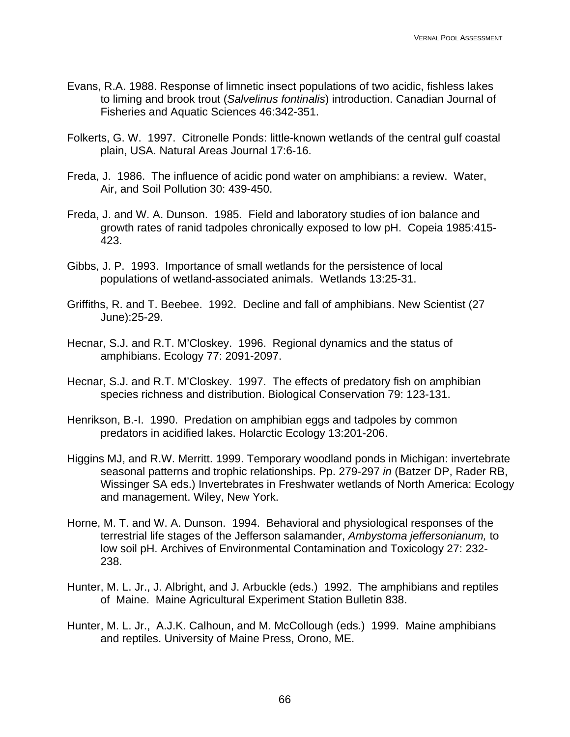- Evans, R.A. 1988. Response of limnetic insect populations of two acidic, fishless lakes to liming and brook trout (*Salvelinus fontinalis*) introduction. Canadian Journal of Fisheries and Aquatic Sciences 46:342-351.
- Folkerts, G. W. 1997. Citronelle Ponds: little-known wetlands of the central gulf coastal plain, USA. Natural Areas Journal 17:6-16.
- Freda, J. 1986. The influence of acidic pond water on amphibians: a review. Water, Air, and Soil Pollution 30: 439-450.
- Freda, J. and W. A. Dunson. 1985. Field and laboratory studies of ion balance and growth rates of ranid tadpoles chronically exposed to low pH. Copeia 1985:415- 423.
- Gibbs, J. P. 1993. Importance of small wetlands for the persistence of local populations of wetland-associated animals. Wetlands 13:25-31.
- Griffiths, R. and T. Beebee. 1992. Decline and fall of amphibians. New Scientist (27 June):25-29.
- Hecnar, S.J. and R.T. M'Closkey. 1996. Regional dynamics and the status of amphibians. Ecology 77: 2091-2097.
- Hecnar, S.J. and R.T. M'Closkey. 1997. The effects of predatory fish on amphibian species richness and distribution. Biological Conservation 79: 123-131.
- Henrikson, B.-I. 1990. Predation on amphibian eggs and tadpoles by common predators in acidified lakes. Holarctic Ecology 13:201-206.
- Higgins MJ, and R.W. Merritt. 1999. Temporary woodland ponds in Michigan: invertebrate seasonal patterns and trophic relationships. Pp. 279-297 *in* (Batzer DP, Rader RB, Wissinger SA eds.) Invertebrates in Freshwater wetlands of North America: Ecology and management. Wiley, New York.
- Horne, M. T. and W. A. Dunson. 1994. Behavioral and physiological responses of the terrestrial life stages of the Jefferson salamander, *Ambystoma jeffersonianum,* to low soil pH. Archives of Environmental Contamination and Toxicology 27: 232- 238.
- Hunter, M. L. Jr., J. Albright, and J. Arbuckle (eds.) 1992. The amphibians and reptiles of Maine. Maine Agricultural Experiment Station Bulletin 838.
- Hunter, M. L. Jr., A.J.K. Calhoun, and M. McCollough (eds.) 1999. Maine amphibians and reptiles. University of Maine Press, Orono, ME.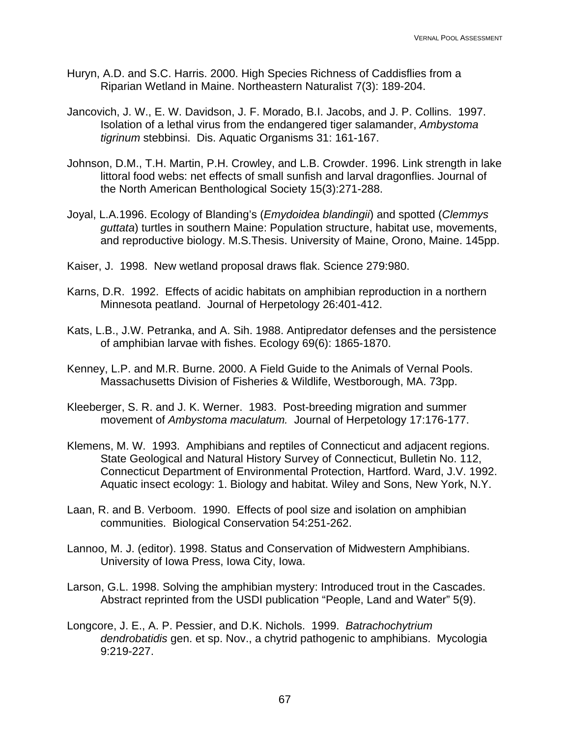- Huryn, A.D. and S.C. Harris. 2000. High Species Richness of Caddisflies from a Riparian Wetland in Maine. Northeastern Naturalist 7(3): 189-204.
- Jancovich, J. W., E. W. Davidson, J. F. Morado, B.I. Jacobs, and J. P. Collins. 1997. Isolation of a lethal virus from the endangered tiger salamander, *Ambystoma tigrinum* stebbinsi. Dis. Aquatic Organisms 31: 161-167.
- Johnson, D.M., T.H. Martin, P.H. Crowley, and L.B. Crowder. 1996. Link strength in lake littoral food webs: net effects of small sunfish and larval dragonflies. Journal of the North American Benthological Society 15(3):271-288.
- Joyal, L.A.1996. Ecology of Blanding's (*Emydoidea blandingii*) and spotted (*Clemmys guttata*) turtles in southern Maine: Population structure, habitat use, movements, and reproductive biology. M.S.Thesis. University of Maine, Orono, Maine. 145pp.
- Kaiser, J. 1998. New wetland proposal draws flak. Science 279:980.
- Karns, D.R. 1992. Effects of acidic habitats on amphibian reproduction in a northern Minnesota peatland. Journal of Herpetology 26:401-412.
- Kats, L.B., J.W. Petranka, and A. Sih. 1988. Antipredator defenses and the persistence of amphibian larvae with fishes. Ecology 69(6): 1865-1870.
- Kenney, L.P. and M.R. Burne. 2000. A Field Guide to the Animals of Vernal Pools. Massachusetts Division of Fisheries & Wildlife, Westborough, MA. 73pp.
- Kleeberger, S. R. and J. K. Werner. 1983. Post-breeding migration and summer movement of *Ambystoma maculatum.* Journal of Herpetology 17:176-177.
- Klemens, M. W. 1993. Amphibians and reptiles of Connecticut and adjacent regions. State Geological and Natural History Survey of Connecticut, Bulletin No. 112, Connecticut Department of Environmental Protection, Hartford. Ward, J.V. 1992. Aquatic insect ecology: 1. Biology and habitat. Wiley and Sons, New York, N.Y.
- Laan, R. and B. Verboom. 1990. Effects of pool size and isolation on amphibian communities. Biological Conservation 54:251-262.
- Lannoo, M. J. (editor). 1998. Status and Conservation of Midwestern Amphibians. University of Iowa Press, Iowa City, Iowa.
- Larson, G.L. 1998. Solving the amphibian mystery: Introduced trout in the Cascades. Abstract reprinted from the USDI publication "People, Land and Water" 5(9).
- Longcore, J. E., A. P. Pessier, and D.K. Nichols. 1999. *Batrachochytrium dendrobatidis* gen. et sp. Nov., a chytrid pathogenic to amphibians. Mycologia 9:219-227.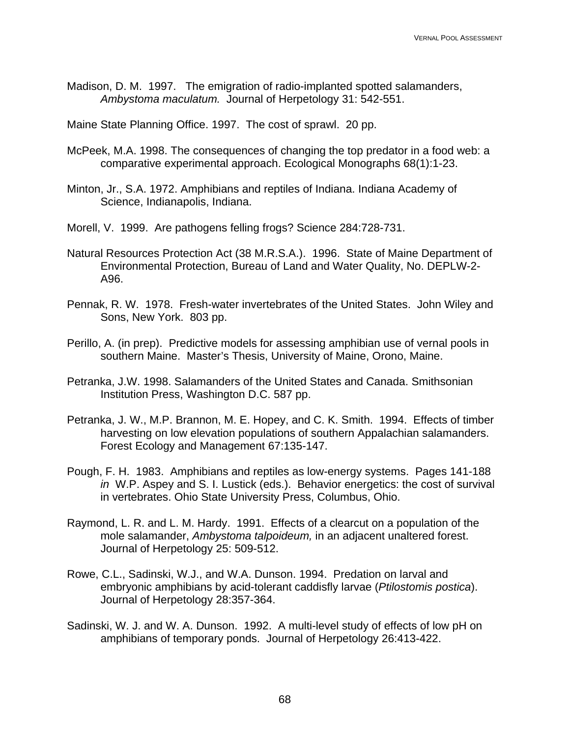Madison, D. M. 1997. The emigration of radio-implanted spotted salamanders, *Ambystoma maculatum.* Journal of Herpetology 31: 542-551.

Maine State Planning Office. 1997. The cost of sprawl. 20 pp.

- McPeek, M.A. 1998. The consequences of changing the top predator in a food web: a comparative experimental approach. Ecological Monographs 68(1):1-23.
- Minton, Jr., S.A. 1972. Amphibians and reptiles of Indiana. Indiana Academy of Science, Indianapolis, Indiana.
- Morell, V. 1999. Are pathogens felling frogs? Science 284:728-731.
- Natural Resources Protection Act (38 M.R.S.A.). 1996. State of Maine Department of Environmental Protection, Bureau of Land and Water Quality, No. DEPLW-2- A96.
- Pennak, R. W. 1978. Fresh-water invertebrates of the United States. John Wiley and Sons, New York. 803 pp.
- Perillo, A. (in prep). Predictive models for assessing amphibian use of vernal pools in southern Maine. Master's Thesis, University of Maine, Orono, Maine.
- Petranka, J.W. 1998. Salamanders of the United States and Canada. Smithsonian Institution Press, Washington D.C. 587 pp.
- Petranka, J. W., M.P. Brannon, M. E. Hopey, and C. K. Smith. 1994. Effects of timber harvesting on low elevation populations of southern Appalachian salamanders. Forest Ecology and Management 67:135-147.
- Pough, F. H. 1983. Amphibians and reptiles as low-energy systems. Pages 141-188 *in* W.P. Aspey and S. I. Lustick (eds.). Behavior energetics: the cost of survival in vertebrates. Ohio State University Press, Columbus, Ohio.
- Raymond, L. R. and L. M. Hardy. 1991. Effects of a clearcut on a population of the mole salamander, *Ambystoma talpoideum,* in an adjacent unaltered forest. Journal of Herpetology 25: 509-512.
- Rowe, C.L., Sadinski, W.J., and W.A. Dunson. 1994. Predation on larval and embryonic amphibians by acid-tolerant caddisfly larvae (*Ptilostomis postica*). Journal of Herpetology 28:357-364.
- Sadinski, W. J. and W. A. Dunson. 1992. A multi-level study of effects of low pH on amphibians of temporary ponds. Journal of Herpetology 26:413-422.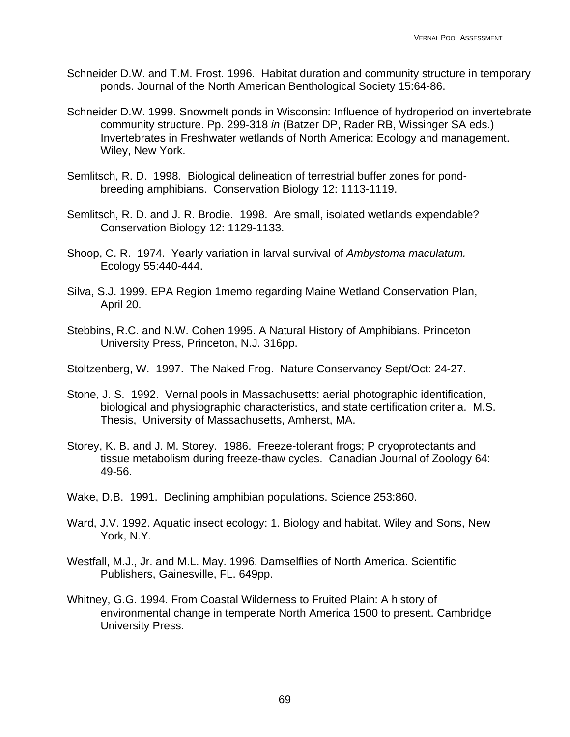- Schneider D.W. and T.M. Frost. 1996. Habitat duration and community structure in temporary ponds. Journal of the North American Benthological Society 15:64-86.
- Schneider D.W. 1999. Snowmelt ponds in Wisconsin: Influence of hydroperiod on invertebrate community structure. Pp. 299-318 *in* (Batzer DP, Rader RB, Wissinger SA eds.) Invertebrates in Freshwater wetlands of North America: Ecology and management. Wiley, New York.
- Semlitsch, R. D. 1998. Biological delineation of terrestrial buffer zones for pondbreeding amphibians. Conservation Biology 12: 1113-1119.
- Semlitsch, R. D. and J. R. Brodie. 1998. Are small, isolated wetlands expendable? Conservation Biology 12: 1129-1133.
- Shoop, C. R. 1974. Yearly variation in larval survival of *Ambystoma maculatum.* Ecology 55:440-444.
- Silva, S.J. 1999. EPA Region 1memo regarding Maine Wetland Conservation Plan, April 20.
- Stebbins, R.C. and N.W. Cohen 1995. A Natural History of Amphibians. Princeton University Press, Princeton, N.J. 316pp.

Stoltzenberg, W. 1997. The Naked Frog. Nature Conservancy Sept/Oct: 24-27.

- Stone, J. S. 1992. Vernal pools in Massachusetts: aerial photographic identification, biological and physiographic characteristics, and state certification criteria. M.S. Thesis, University of Massachusetts, Amherst, MA.
- Storey, K. B. and J. M. Storey. 1986. Freeze-tolerant frogs; P cryoprotectants and tissue metabolism during freeze-thaw cycles. Canadian Journal of Zoology 64: 49-56.
- Wake, D.B. 1991. Declining amphibian populations. Science 253:860.
- Ward, J.V. 1992. Aquatic insect ecology: 1. Biology and habitat. Wiley and Sons, New York, N.Y.
- Westfall, M.J., Jr. and M.L. May. 1996. Damselflies of North America. Scientific Publishers, Gainesville, FL. 649pp.
- Whitney, G.G. 1994. From Coastal Wilderness to Fruited Plain: A history of environmental change in temperate North America 1500 to present. Cambridge University Press.